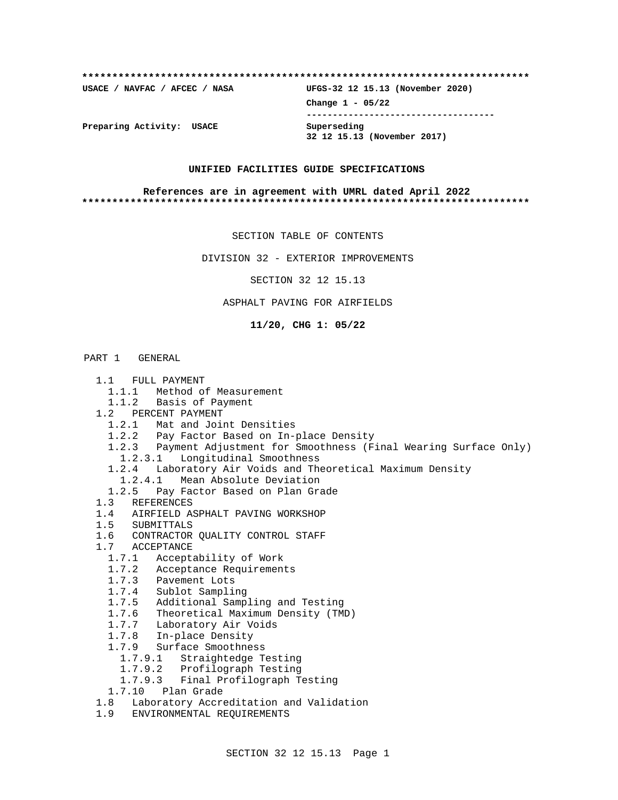| USACE / NAVFAC / AFCEC / NASA | UFGS-32 12 15.13 (November 2020)           |
|-------------------------------|--------------------------------------------|
|                               | Change $1 - 05/22$                         |
| Preparing Activity: USACE     | Superseding<br>32 12 15.13 (November 2017) |

#### **UNIFIED FACILITIES GUIDE SPECIFICATIONS**

#### **References are in agreement with UMRL dated April 2022 \*\*\*\*\*\*\*\*\*\*\*\*\*\*\*\*\*\*\*\*\*\*\*\*\*\*\*\*\*\*\*\*\*\*\*\*\*\*\*\*\*\*\*\*\*\*\*\*\*\*\*\*\*\*\*\*\*\*\*\*\*\*\*\*\*\*\*\*\*\*\*\*\*\***

SECTION TABLE OF CONTENTS

DIVISION 32 - EXTERIOR IMPROVEMENTS

SECTION 32 12 15.13

ASPHALT PAVING FOR AIRFIELDS

**11/20, CHG 1: 05/22**

## PART 1 GENERAL

- 1.1 FULL PAYMENT
	- 1.1.1 Method of Measurement
	- 1.1.2 Basis of Payment
- 1.2 PERCENT PAYMENT
	- 1.2.1 Mat and Joint Densities
	- 1.2.2 Pay Factor Based on In-place Density
	- 1.2.3 Payment Adjustment for Smoothness (Final Wearing Surface Only)
	- 1.2.3.1 Longitudinal Smoothness
	- 1.2.4 Laboratory Air Voids and Theoretical Maximum Density
	-
	- 1.2.4.1 Mean Absolute Deviation<br>1.2.5 Pay Factor Based on Plan Gra Pay Factor Based on Plan Grade
- 1.3 REFERENCES
- 1.4 AIRFIELD ASPHALT PAVING WORKSHOP
- 1.5 SUBMITTALS
- 1.6 CONTRACTOR QUALITY CONTROL STAFF
- 1.7 ACCEPTANCE
	- 1.7.1 Acceptability of Work
	- 1.7.2 Acceptance Requirements
	-
	- 1.7.3 Pavement Lots<br>1.7.4 Sublot Samplin Sublot Sampling
	- 1.7.5 Additional Sampling and Testing
	- 1.7.6 Theoretical Maximum Density (TMD)
	- 1.7.7 Laboratory Air Voids
	- 1.7.8 In-place Density
	- 1.7.9 Surface Smoothness
		- 1.7.9.1 Straightedge Testing
		- 1.7.9.2 Profilograph Testing
		- 1.7.9.3 Final Profilograph Testing
	- 1.7.10 Plan Grade
- 1.8 Laboratory Accreditation and Validation
- 1.9 ENVIRONMENTAL REQUIREMENTS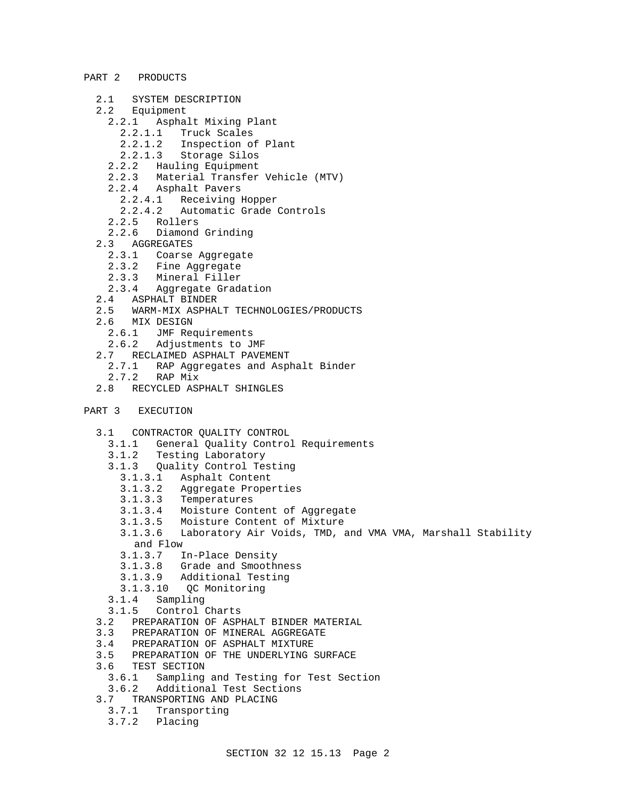## PART 2 PRODUCTS

- 2.1 SYSTEM DESCRIPTION
- 2.2 Equipment
	- 2.2.1 Asphalt Mixing Plant
		- 2.2.1.1 Truck Scales
		- 2.2.1.2 Inspection of Plant
		- 2.2.1.3 Storage Silos
	- 2.2.2 Hauling Equipment
	- 2.2.3 Material Transfer Vehicle (MTV)
	- 2.2.4 Asphalt Pavers
		- 2.2.4.1 Receiving Hopper
		- 2.2.4.2 Automatic Grade Controls
	-
	- 2.2.5 Rollers<br>2.2.6 Diamond Diamond Grinding
- 2.3 AGGREGATES
	- 2.3.1 Coarse Aggregate
	- 2.3.2 Fine Aggregate
	- 2.3.3 Mineral Filler
	- 2.3.4 Aggregate Gradation
- 2.4 ASPHALT BINDER
- 2.5 WARM-MIX ASPHALT TECHNOLOGIES/PRODUCTS
- 2.6 MIX DESIGN
	- 2.6.1 JMF Requirements
	- 2.6.2 Adjustments to JMF
- 2.7 RECLAIMED ASPHALT PAVEMENT
	- 2.7.1 RAP Aggregates and Asphalt Binder<br>2.7.2 RAP Mix
	- RAP Mix
- 2.8 RECYCLED ASPHALT SHINGLES
- PART 3 EXECUTION
	- 3.1 CONTRACTOR QUALITY CONTROL
		- 3.1.1 General Quality Control Requirements
		- 3.1.2 Testing Laboratory
		- 3.1.3 Quality Control Testing
			- 3.1.3.1 Asphalt Content
			- 3.1.3.2 Aggregate Properties
			- **Temperatures**
			- 3.1.3.4 Moisture Content of Aggregate
			- 3.1.3.5 Moisture Content of Mixture
			- 3.1.3.6 Laboratory Air Voids, TMD, and VMA VMA, Marshall Stability and Flow
			- 3.1.3.7 In-Place Density
			- 3.1.3.8 Grade and Smoothness
			- 3.1.3.9 Additional Testing
			- 3.1.3.10 QC Monitoring
		- 3.1.4 Sampling
		- 3.1.5 Control Charts
	- 3.2 PREPARATION OF ASPHALT BINDER MATERIAL
	- 3.3 PREPARATION OF MINERAL AGGREGATE
	- 3.4 PREPARATION OF ASPHALT MIXTURE
	- 3.5 PREPARATION OF THE UNDERLYING SURFACE
	- 3.6 TEST SECTION
	- 3.6.1 Sampling and Testing for Test Section
	- 3.6.2 Additional Test Sections
	- 3.7 TRANSPORTING AND PLACING
	- 3.7.1 Transporting
		- 3.7.2 Placing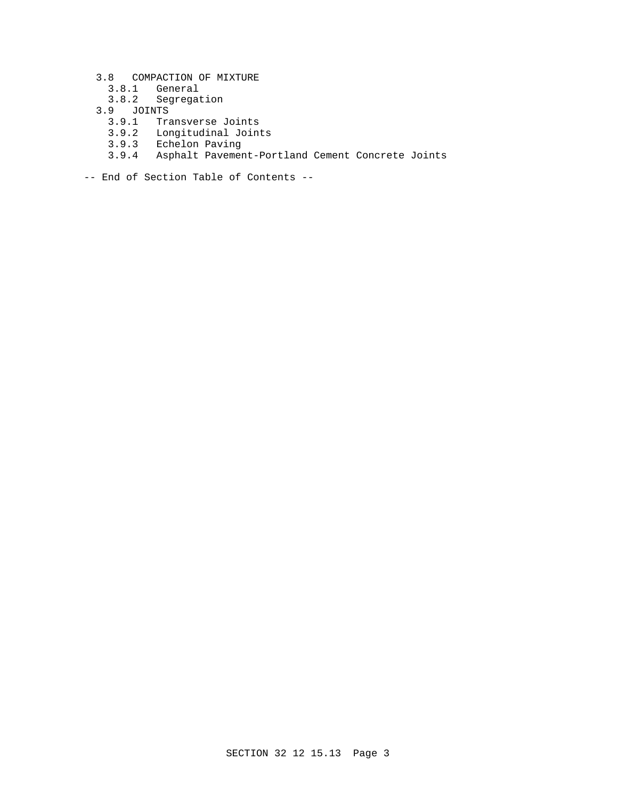- 3.8 COMPACTION OF MIXTURE
	- 3.8.1 General
	- 3.8.2 Segregation
- 3.9 JOINTS
	- 3.9.1 Transverse Joints
- 3.9.2 Longitudinal Joints
- 3.9.3 Echelon Paving
	- 3.9.4 Asphalt Pavement-Portland Cement Concrete Joints

-- End of Section Table of Contents --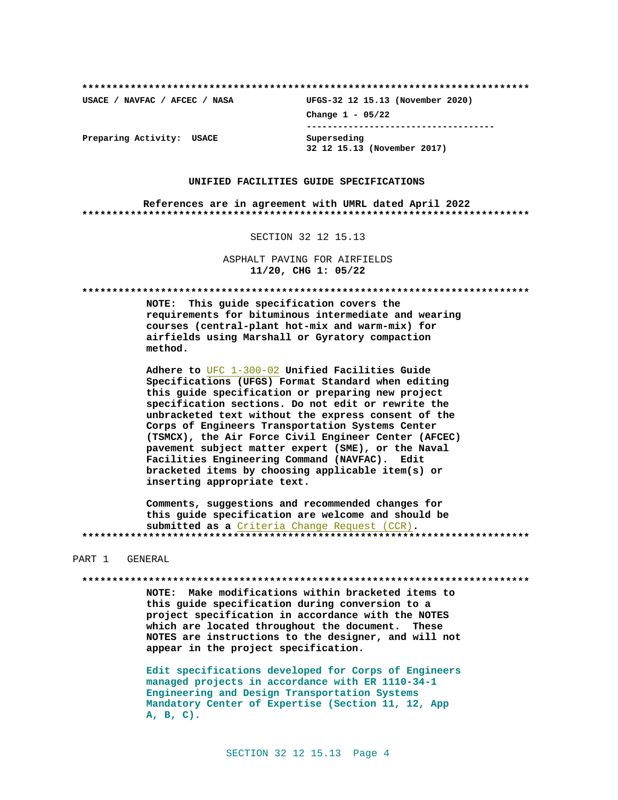**\*\*\*\*\*\*\*\*\*\*\*\*\*\*\*\*\*\*\*\*\*\*\*\*\*\*\*\*\*\*\*\*\*\*\*\*\*\*\*\*\*\*\*\*\*\*\*\*\*\*\*\*\*\*\*\*\*\*\*\*\*\*\*\*\*\*\*\*\*\*\*\*\*\***

**USACE / NAVFAC / AFCEC / NASA UFGS-32 12 15.13 (November 2020) Change 1 - 05/22 ------------------------------------ 32 12 15.13 (November 2017)**

**Preparing Activity: USACE Superseding**

### **UNIFIED FACILITIES GUIDE SPECIFICATIONS**

**References are in agreement with UMRL dated April 2022 \*\*\*\*\*\*\*\*\*\*\*\*\*\*\*\*\*\*\*\*\*\*\*\*\*\*\*\*\*\*\*\*\*\*\*\*\*\*\*\*\*\*\*\*\*\*\*\*\*\*\*\*\*\*\*\*\*\*\*\*\*\*\*\*\*\*\*\*\*\*\*\*\*\***

SECTION 32 12 15.13

ASPHALT PAVING FOR AIRFIELDS **11/20, CHG 1: 05/22**

**\*\*\*\*\*\*\*\*\*\*\*\*\*\*\*\*\*\*\*\*\*\*\*\*\*\*\*\*\*\*\*\*\*\*\*\*\*\*\*\*\*\*\*\*\*\*\*\*\*\*\*\*\*\*\*\*\*\*\*\*\*\*\*\*\*\*\*\*\*\*\*\*\*\***

**NOTE: This guide specification covers the requirements for bituminous intermediate and wearing courses (central-plant hot-mix and warm-mix) for airfields using Marshall or Gyratory compaction method.**

**Adhere to** UFC 1-300-02 **Unified Facilities Guide Specifications (UFGS) Format Standard when editing this guide specification or preparing new project specification sections. Do not edit or rewrite the unbracketed text without the express consent of the Corps of Engineers Transportation Systems Center (TSMCX), the Air Force Civil Engineer Center (AFCEC) pavement subject matter expert (SME), or the Naval Facilities Engineering Command (NAVFAC). Edit bracketed items by choosing applicable item(s) or inserting appropriate text.**

**Comments, suggestions and recommended changes for this guide specification are welcome and should be submitted as a** Criteria Change Request (CCR)**. \*\*\*\*\*\*\*\*\*\*\*\*\*\*\*\*\*\*\*\*\*\*\*\*\*\*\*\*\*\*\*\*\*\*\*\*\*\*\*\*\*\*\*\*\*\*\*\*\*\*\*\*\*\*\*\*\*\*\*\*\*\*\*\*\*\*\*\*\*\*\*\*\*\***

PART 1 GENERAL

**\*\*\*\*\*\*\*\*\*\*\*\*\*\*\*\*\*\*\*\*\*\*\*\*\*\*\*\*\*\*\*\*\*\*\*\*\*\*\*\*\*\*\*\*\*\*\*\*\*\*\*\*\*\*\*\*\*\*\*\*\*\*\*\*\*\*\*\*\*\*\*\*\*\***

**NOTE: Make modifications within bracketed items to this guide specification during conversion to a project specification in accordance with the NOTES which are located throughout the document. These NOTES are instructions to the designer, and will not appear in the project specification.**

**Edit specifications developed for Corps of Engineers managed projects in accordance with ER 1110-34-1 Engineering and Design Transportation Systems Mandatory Center of Expertise (Section 11, 12, App A, B, C).**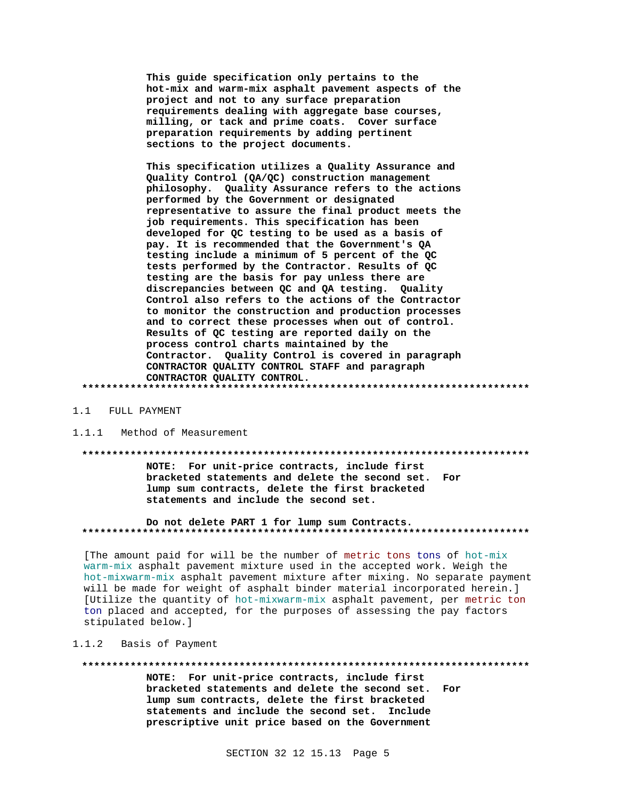This guide specification only pertains to the hot-mix and warm-mix asphalt pavement aspects of the project and not to any surface preparation requirements dealing with aggregate base courses, milling, or tack and prime coats. Cover surface preparation requirements by adding pertinent sections to the project documents.

This specification utilizes a Quality Assurance and Quality Control (QA/QC) construction management philosophy. Quality Assurance refers to the actions performed by the Government or designated representative to assure the final product meets the job requirements. This specification has been developed for QC testing to be used as a basis of pay. It is recommended that the Government's QA testing include a minimum of 5 percent of the QC tests performed by the Contractor. Results of QC testing are the basis for pay unless there are discrepancies between QC and QA testing. Quality Control also refers to the actions of the Contractor to monitor the construction and production processes and to correct these processes when out of control. Results of QC testing are reported daily on the process control charts maintained by the Contractor. Quality Control is covered in paragraph CONTRACTOR QUALITY CONTROL STAFF and paragraph CONTRACTOR QUALITY CONTROL. 

#### 1.1 FULL PAYMENT

#### $1.1.1$ Method of Measurement

#### 

NOTE: For unit-price contracts, include first bracketed statements and delete the second set. For lump sum contracts, delete the first bracketed statements and include the second set.

Do not delete PART 1 for lump sum Contracts. 

[The amount paid for will be the number of metric tons tons of hot-mix warm-mix asphalt pavement mixture used in the accepted work. Weigh the hot-mixwarm-mix asphalt pavement mixture after mixing. No separate payment will be made for weight of asphalt binder material incorporated herein.] [Utilize the quantity of hot-mixwarm-mix asphalt pavement, per metric ton ton placed and accepted, for the purposes of assessing the pay factors stipulated below.]

#### $1.1.2$ Basis of Payment

#### 

NOTE: For unit-price contracts, include first bracketed statements and delete the second set. For lump sum contracts, delete the first bracketed statements and include the second set. Include prescriptive unit price based on the Government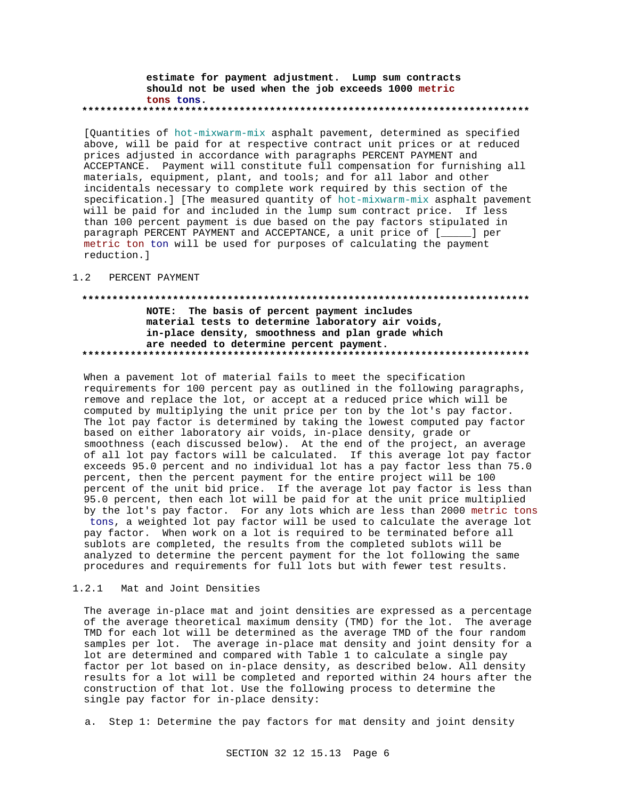### estimate for payment adjustment. Lump sum contracts should not be used when the job exceeds 1000 metric tons tons.

[Quantities of hot-mixwarm-mix asphalt pavement, determined as specified above, will be paid for at respective contract unit prices or at reduced prices adjusted in accordance with paragraphs PERCENT PAYMENT and ACCEPTANCE. Payment will constitute full compensation for furnishing all materials, equipment, plant, and tools; and for all labor and other incidentals necessary to complete work required by this section of the specification.] [The measured quantity of hot-mixwarm-mix asphalt pavement will be paid for and included in the lump sum contract price. If less than 100 percent payment is due based on the pay factors stipulated in paragraph PERCENT PAYMENT and ACCEPTANCE, a unit price of [\_\_\_\_] per metric ton ton will be used for purposes of calculating the payment reduction.]

#### $1.2$ PERCENT PAYMENT

# NOTE: The basis of percent payment includes material tests to determine laboratory air voids, in-place density, smoothness and plan grade which are needed to determine percent payment.

When a pavement lot of material fails to meet the specification requirements for 100 percent pay as outlined in the following paragraphs, remove and replace the lot, or accept at a reduced price which will be computed by multiplying the unit price per ton by the lot's pay factor. The lot pay factor is determined by taking the lowest computed pay factor based on either laboratory air voids, in-place density, grade or smoothness (each discussed below). At the end of the project, an average of all lot pay factors will be calculated. If this average lot pay factor exceeds 95.0 percent and no individual lot has a pay factor less than 75.0 percent, then the percent payment for the entire project will be 100 percent of the unit bid price. If the average lot pay factor is less than 95.0 percent, then each lot will be paid for at the unit price multiplied by the lot's pay factor. For any lots which are less than 2000 metric tons tons, a weighted lot pay factor will be used to calculate the average lot pay factor. When work on a lot is required to be terminated before all sublots are completed, the results from the completed sublots will be analyzed to determine the percent payment for the lot following the same procedures and requirements for full lots but with fewer test results.

#### $1.2.1$ Mat and Joint Densities

The average in-place mat and joint densities are expressed as a percentage of the average theoretical maximum density (TMD) for the lot. The average TMD for each lot will be determined as the average TMD of the four random samples per lot. The average in-place mat density and joint density for a lot are determined and compared with Table 1 to calculate a single pay factor per lot based on in-place density, as described below. All density results for a lot will be completed and reported within 24 hours after the construction of that lot. Use the following process to determine the single pay factor for in-place density:

a. Step 1: Determine the pay factors for mat density and joint density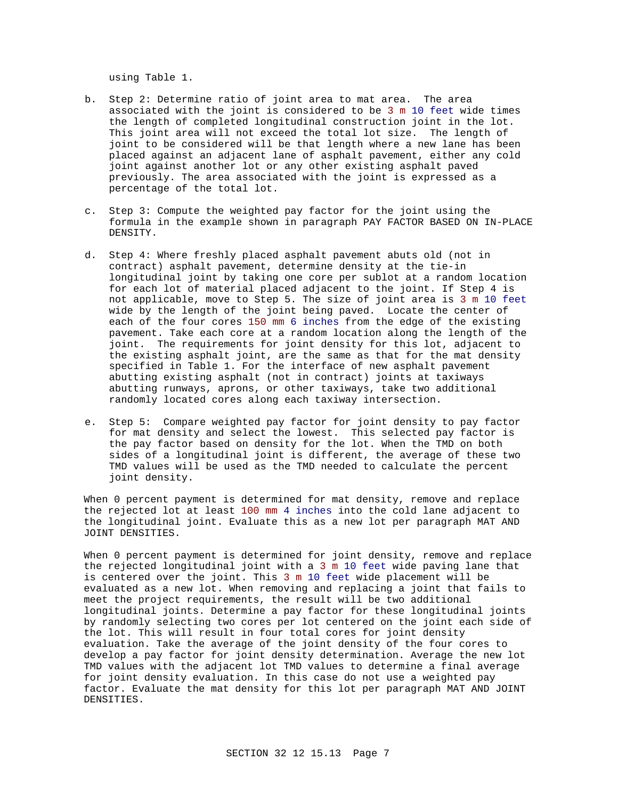using Table 1.

- b. Step 2: Determine ratio of joint area to mat area. The area associated with the joint is considered to be 3 m 10 feet wide times the length of completed longitudinal construction joint in the lot. This joint area will not exceed the total lot size. The length of joint to be considered will be that length where a new lane has been placed against an adjacent lane of asphalt pavement, either any cold joint against another lot or any other existing asphalt paved previously. The area associated with the joint is expressed as a percentage of the total lot.
- c. Step 3: Compute the weighted pay factor for the joint using the formula in the example shown in paragraph PAY FACTOR BASED ON IN-PLACE DENSITY.
- d. Step 4: Where freshly placed asphalt pavement abuts old (not in contract) asphalt pavement, determine density at the tie-in longitudinal joint by taking one core per sublot at a random location for each lot of material placed adjacent to the joint. If Step 4 is not applicable, move to Step 5. The size of joint area is 3 m 10 feet wide by the length of the joint being paved. Locate the center of each of the four cores 150 mm 6 inches from the edge of the existing pavement. Take each core at a random location along the length of the joint. The requirements for joint density for this lot, adjacent to the existing asphalt joint, are the same as that for the mat density specified in Table 1. For the interface of new asphalt pavement abutting existing asphalt (not in contract) joints at taxiways abutting runways, aprons, or other taxiways, take two additional randomly located cores along each taxiway intersection.
- e. Step 5: Compare weighted pay factor for joint density to pay factor for mat density and select the lowest. This selected pay factor is the pay factor based on density for the lot. When the TMD on both sides of a longitudinal joint is different, the average of these two TMD values will be used as the TMD needed to calculate the percent joint density.

When 0 percent payment is determined for mat density, remove and replace the rejected lot at least 100 mm 4 inches into the cold lane adjacent to the longitudinal joint. Evaluate this as a new lot per paragraph MAT AND JOINT DENSITIES.

When 0 percent payment is determined for joint density, remove and replace the rejected longitudinal joint with a 3 m 10 feet wide paving lane that is centered over the joint. This 3 m 10 feet wide placement will be evaluated as a new lot. When removing and replacing a joint that fails to meet the project requirements, the result will be two additional longitudinal joints. Determine a pay factor for these longitudinal joints by randomly selecting two cores per lot centered on the joint each side of the lot. This will result in four total cores for joint density evaluation. Take the average of the joint density of the four cores to develop a pay factor for joint density determination. Average the new lot TMD values with the adjacent lot TMD values to determine a final average for joint density evaluation. In this case do not use a weighted pay factor. Evaluate the mat density for this lot per paragraph MAT AND JOINT DENSITIES.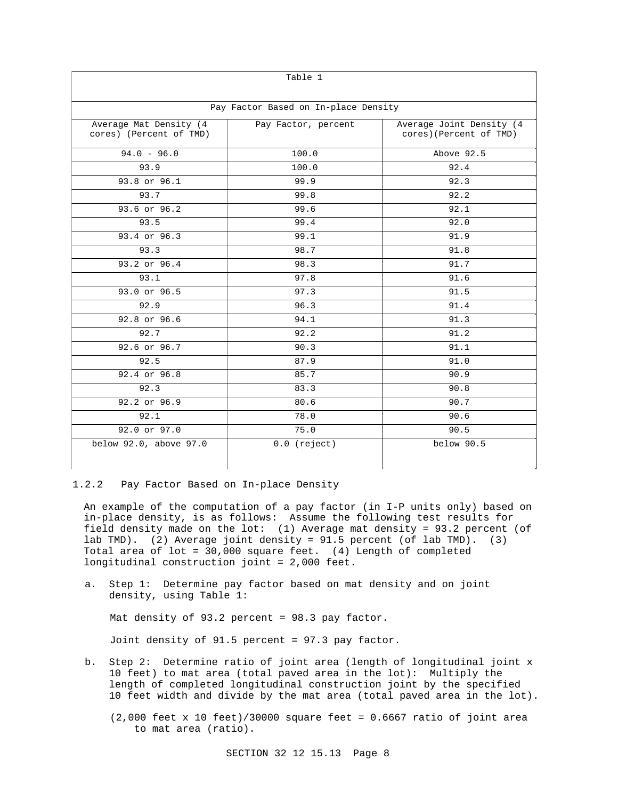| Table 1                                           |                                      |                                                    |  |
|---------------------------------------------------|--------------------------------------|----------------------------------------------------|--|
|                                                   | Pay Factor Based on In-place Density |                                                    |  |
| Average Mat Density (4<br>cores) (Percent of TMD) | Pay Factor, percent                  | Average Joint Density (4<br>cores)(Percent of TMD) |  |
| $94.0 - 96.0$                                     | 100.0                                | Above 92.5                                         |  |
| 93.9                                              | 100.0                                | 92.4                                               |  |
| 93.8 or 96.1                                      | 99.9                                 | 92.3                                               |  |
| 93.7                                              | 99.8                                 | 92.2                                               |  |
| 93.6 or 96.2                                      | 92.1<br>99.6                         |                                                    |  |
| 93.5                                              | 99.4<br>92.0                         |                                                    |  |
| 93.4 or 96.3                                      | 99.1                                 | 91.9                                               |  |
| 93.3                                              | 98.7                                 | 91.8                                               |  |
| 93.2 or 96.4                                      | 98.3                                 | 91.7                                               |  |
| 93.1                                              | 97.8                                 | 91.6                                               |  |
| 93.0 or 96.5                                      | 97.3                                 | 91.5                                               |  |
| 92.9                                              | 96.3                                 | 91.4                                               |  |
| $92.8$ or $96.6$                                  | 94.1                                 | 91.3                                               |  |
| 92.7                                              | 92.2                                 | 91.2                                               |  |
| 92.6 or 96.7                                      | 90.3                                 | 91.1                                               |  |
| 92.5                                              | 87.9                                 | 91.0                                               |  |
| 92.4 or 96.8                                      | 85.7                                 | 90.9                                               |  |
| 92.3                                              | 83.3                                 | 90.8                                               |  |
| 92.2 or 96.9                                      | 80.6                                 | 90.7                                               |  |
| 92.1                                              | 78.0                                 | 90.6                                               |  |
| 92.0 or 97.0                                      | 75.0                                 | 90.5                                               |  |
| below 92.0, above 97.0                            | $0.0$ (reject)                       | below 90.5                                         |  |

#### 1.2.2 Pay Factor Based on In-place Density

An example of the computation of a pay factor (in I-P units only) based on in-place density, is as follows: Assume the following test results for field density made on the lot: (1) Average mat density = 93.2 percent (of lab TMD). (2) Average joint density = 91.5 percent (of lab TMD). (3) Total area of lot = 30,000 square feet. (4) Length of completed longitudinal construction joint = 2,000 feet.

a. Step 1: Determine pay factor based on mat density and on joint density, using Table 1:

Mat density of 93.2 percent = 98.3 pay factor.

Joint density of 91.5 percent = 97.3 pay factor.

- b. Step 2: Determine ratio of joint area (length of longitudinal joint x 10 feet) to mat area (total paved area in the lot): Multiply the length of completed longitudinal construction joint by the specified 10 feet width and divide by the mat area (total paved area in the lot).
	- $(2,000$  feet x 10 feet)/30000 square feet = 0.6667 ratio of joint area to mat area (ratio).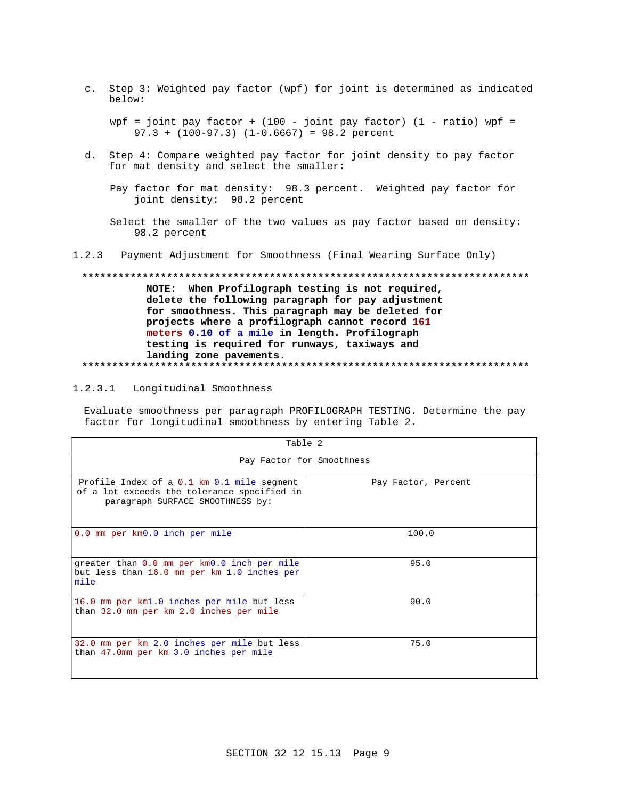c. Step 3: Weighted pay factor (wpf) for joint is determined as indicated below:

wpf = joint pay factor +  $(100 - joint$  pay factor)  $(1 - ratio)$  wpf =  $97.3 + (100-97.3)$   $(1-0.6667) = 98.2$  percent

d. Step 4: Compare weighted pay factor for joint density to pay factor for mat density and select the smaller:

Pay factor for mat density: 98.3 percent. Weighted pay factor for joint density: 98.2 percent

Select the smaller of the two values as pay factor based on density: 98.2 percent

 $1.2.3$ Payment Adjustment for Smoothness (Final Wearing Surface Only)

# NOTE: When Profilograph testing is not required, delete the following paragraph for pay adjustment for smoothness. This paragraph may be deleted for projects where a profilograph cannot record 161 meters 0.10 of a mile in length. Profilograph testing is required for runways, taxiways and landing zone pavements.

#### $1.2.3.1$ Longitudinal Smoothness

Evaluate smoothness per paragraph PROFILOGRAPH TESTING. Determine the pay factor for longitudinal smoothness by entering Table 2.

| Table 2                                                                                                                       |                     |  |  |
|-------------------------------------------------------------------------------------------------------------------------------|---------------------|--|--|
| Pay Factor for Smoothness                                                                                                     |                     |  |  |
| Profile Index of a 0.1 km 0.1 mile segment<br>of a lot exceeds the tolerance specified in<br>paragraph SURFACE SMOOTHNESS by: | Pay Factor, Percent |  |  |
| 0.0 mm per km0.0 inch per mile                                                                                                | 100.0               |  |  |
| greater than 0.0 mm per km0.0 inch per mile<br>but less than 16.0 mm per km 1.0 inches per<br>mile                            | 95.0                |  |  |
| 16.0 mm per km1.0 inches per mile but less<br>than 32.0 mm per km 2.0 inches per mile                                         | 90.0                |  |  |
| 32.0 mm per km 2.0 inches per mile but less<br>than 47.0mm per km 3.0 inches per mile                                         | 75.0                |  |  |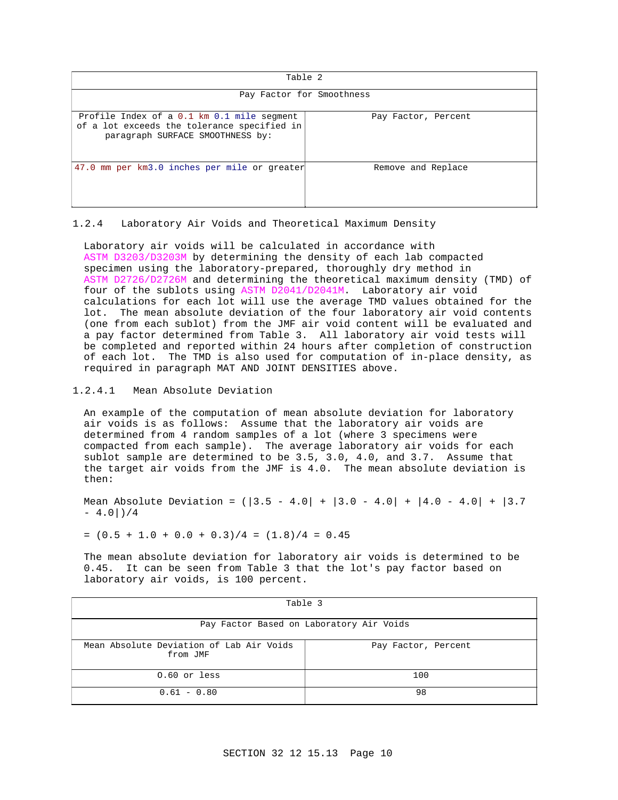| Table 2                                                                                                                       |                     |  |
|-------------------------------------------------------------------------------------------------------------------------------|---------------------|--|
| Pay Factor for Smoothness                                                                                                     |                     |  |
| Profile Index of a 0.1 km 0.1 mile segment<br>of a lot exceeds the tolerance specified in<br>paragraph SURFACE SMOOTHNESS by: | Pay Factor, Percent |  |
| 47.0 mm per km3.0 inches per mile or greater                                                                                  | Remove and Replace  |  |

## 1.2.4 Laboratory Air Voids and Theoretical Maximum Density

Laboratory air voids will be calculated in accordance with ASTM D3203/D3203M by determining the density of each lab compacted specimen using the laboratory-prepared, thoroughly dry method in ASTM D2726/D2726M and determining the theoretical maximum density (TMD) of four of the sublots using ASTM D2041/D2041M. Laboratory air void calculations for each lot will use the average TMD values obtained for the lot. The mean absolute deviation of the four laboratory air void contents (one from each sublot) from the JMF air void content will be evaluated and a pay factor determined from Table 3. All laboratory air void tests will be completed and reported within 24 hours after completion of construction of each lot. The TMD is also used for computation of in-place density, as required in paragraph MAT AND JOINT DENSITIES above.

## 1.2.4.1 Mean Absolute Deviation

An example of the computation of mean absolute deviation for laboratory air voids is as follows: Assume that the laboratory air voids are determined from 4 random samples of a lot (where 3 specimens were compacted from each sample). The average laboratory air voids for each sublot sample are determined to be 3.5, 3.0, 4.0, and 3.7. Assume that the target air voids from the JMF is 4.0. The mean absolute deviation is then:

Mean Absolute Deviation =  $(|3.5 - 4.0| + |3.0 - 4.0| + |4.0 - 4.0| + |3.7$  $- 4.0$  ) / 4

 $=(0.5 + 1.0 + 0.0 + 0.3)/4 = (1.8)/4 = 0.45$ 

The mean absolute deviation for laboratory air voids is determined to be 0.45. It can be seen from Table 3 that the lot's pay factor based on laboratory air voids, is 100 percent.

| Table 3                                              |                     |  |  |
|------------------------------------------------------|---------------------|--|--|
| Pay Factor Based on Laboratory Air Voids             |                     |  |  |
| Mean Absolute Deviation of Lab Air Voids<br>from JMF | Pay Factor, Percent |  |  |
| $0.60$ or less                                       | 100                 |  |  |
| $0.61 - 0.80$                                        | 98                  |  |  |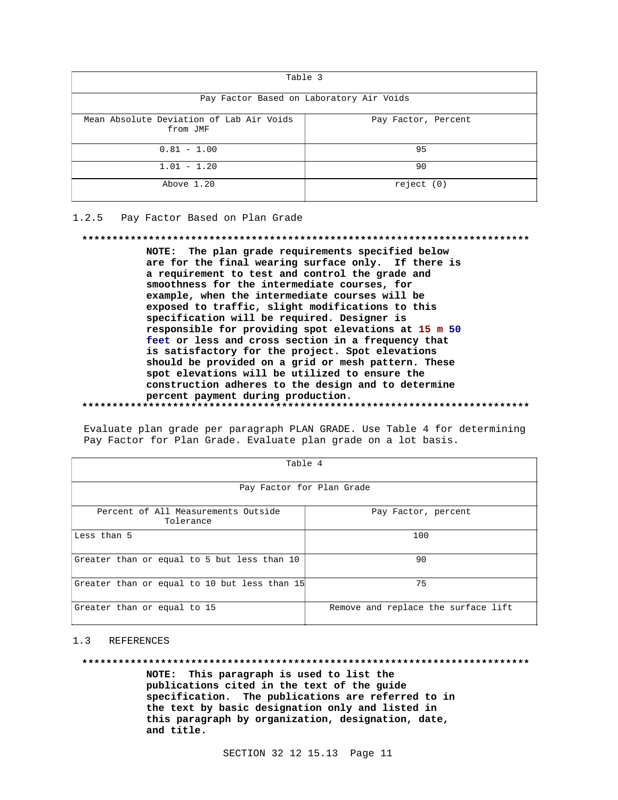| Table 3                                              |                     |  |  |
|------------------------------------------------------|---------------------|--|--|
| Pay Factor Based on Laboratory Air Voids             |                     |  |  |
| Mean Absolute Deviation of Lab Air Voids<br>from JMF | Pay Factor, Percent |  |  |
| $0.81 - 1.00$                                        | 95                  |  |  |
| $1.01 - 1.20$                                        | 90                  |  |  |
| Above 1.20                                           | reject (0)          |  |  |

#### $1.2.5$ Pay Factor Based on Plan Grade

#### 

NOTE: The plan grade requirements specified below are for the final wearing surface only. If there is a requirement to test and control the grade and smoothness for the intermediate courses, for example, when the intermediate courses will be exposed to traffic, slight modifications to this specification will be required. Designer is responsible for providing spot elevations at 15 m 50 feet or less and cross section in a frequency that is satisfactory for the project. Spot elevations should be provided on a grid or mesh pattern. These spot elevations will be utilized to ensure the construction adheres to the design and to determine percent payment during production. 

| Table 4                                          |                                     |  |  |
|--------------------------------------------------|-------------------------------------|--|--|
| Pay Factor for Plan Grade                        |                                     |  |  |
| Percent of All Measurements Outside<br>Tolerance | Pay Factor, percent                 |  |  |
| Less than 5                                      | 100                                 |  |  |
| Greater than or equal to 5 but less than 10      | 90                                  |  |  |
| Greater than or equal to 10 but less than 15     | 75                                  |  |  |
| Greater than or equal to 15                      | Remove and replace the surface lift |  |  |

Evaluate plan grade per paragraph PLAN GRADE. Use Table 4 for determining Pay Factor for Plan Grade. Evaluate plan grade on a lot basis.

#### $1.3$ REFERENCES

#### 

NOTE: This paragraph is used to list the publications cited in the text of the guide specification. The publications are referred to in the text by basic designation only and listed in this paragraph by organization, designation, date, and title.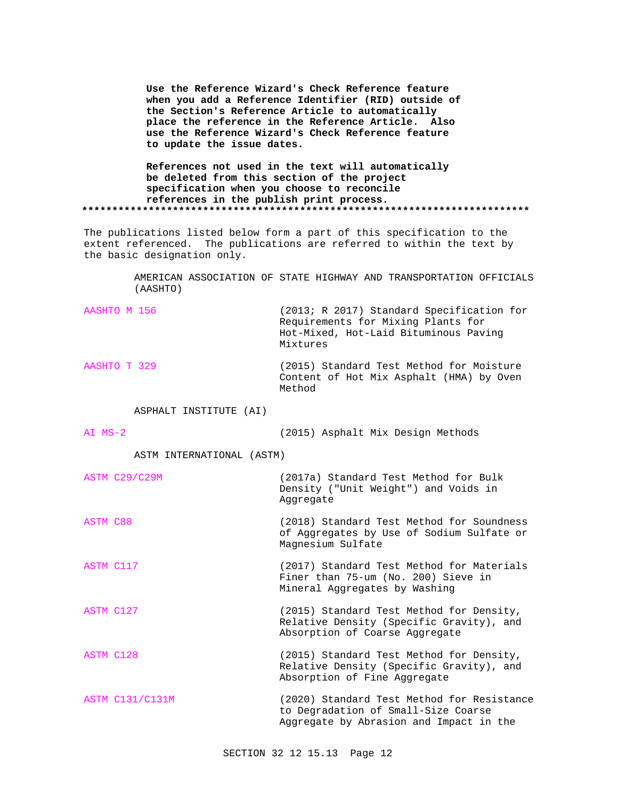**Use the Reference Wizard's Check Reference feature when you add a Reference Identifier (RID) outside of the Section's Reference Article to automatically place the reference in the Reference Article. Also use the Reference Wizard's Check Reference feature to update the issue dates.**

**References not used in the text will automatically be deleted from this section of the project specification when you choose to reconcile references in the publish print process. \*\*\*\*\*\*\*\*\*\*\*\*\*\*\*\*\*\*\*\*\*\*\*\*\*\*\*\*\*\*\*\*\*\*\*\*\*\*\*\*\*\*\*\*\*\*\*\*\*\*\*\*\*\*\*\*\*\*\*\*\*\*\*\*\*\*\*\*\*\*\*\*\*\***

The publications listed below form a part of this specification to the extent referenced. The publications are referred to within the text by the basic designation only.

> AMERICAN ASSOCIATION OF STATE HIGHWAY AND TRANSPORTATION OFFICIALS (AASHTO)

AASHTO M 156 (2013; R 2017) Standard Specification for Requirements for Mixing Plants for Hot-Mixed, Hot-Laid Bituminous Paving Mixtures

AASHTO T 329 (2015) Standard Test Method for Moisture Content of Hot Mix Asphalt (HMA) by Oven Method

ASPHALT INSTITUTE (AI)

AI MS-2 (2015) Asphalt Mix Design Methods

ASTM INTERNATIONAL (ASTM)

| ASTM C29/C29M | (2017a) Standard Test Method for Bulk<br>Density ("Unit Weight") and Voids in<br>Aggregate |
|---------------|--------------------------------------------------------------------------------------------|
| ASTM C88      | (2018) Standard Test Method for Soundness<br>of Aggregates by Use of Sodium Sulfate or     |

ASTM C117 (2017) Standard Test Method for Materials Finer than 75-um (No. 200) Sieve in Mineral Aggregates by Washing

Magnesium Sulfate

ASTM C127 (2015) Standard Test Method for Density, Relative Density (Specific Gravity), and Absorption of Coarse Aggregate

ASTM C128 (2015) Standard Test Method for Density, Relative Density (Specific Gravity), and Absorption of Fine Aggregate

ASTM C131/C131M (2020) Standard Test Method for Resistance to Degradation of Small-Size Coarse Aggregate by Abrasion and Impact in the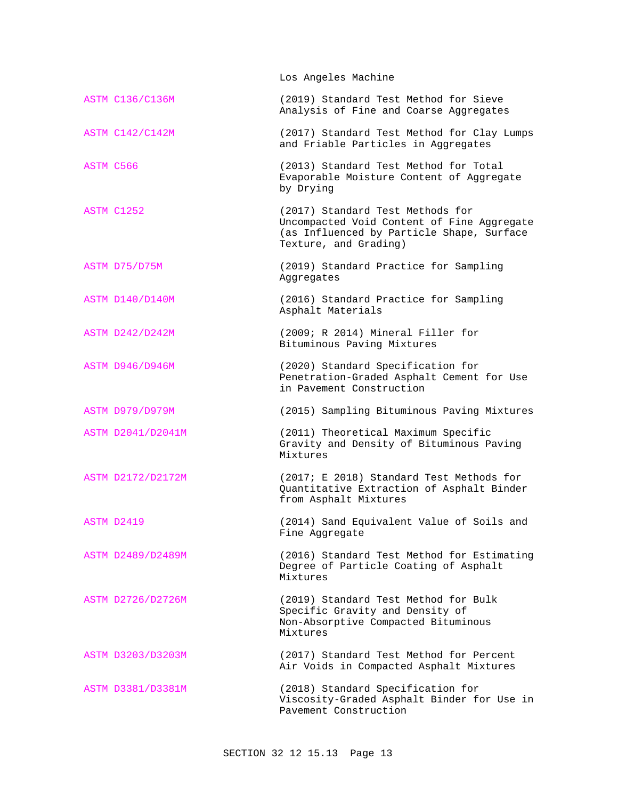Los Angeles Machine ASTM C136/C136M (2019) Standard Test Method for Sieve Analysis of Fine and Coarse Aggregates ASTM C142/C142M (2017) Standard Test Method for Clay Lumps and Friable Particles in Aggregates ASTM C566 (2013) Standard Test Method for Total Evaporable Moisture Content of Aggregate by Drying ASTM C1252 (2017) Standard Test Methods for Uncompacted Void Content of Fine Aggregate (as Influenced by Particle Shape, Surface Texture, and Grading) ASTM D75/D75M (2019) Standard Practice for Sampling Aggregates ASTM D140/D140M (2016) Standard Practice for Sampling Asphalt Materials ASTM D242/D242M (2009; R 2014) Mineral Filler for Bituminous Paving Mixtures ASTM D946/D946M (2020) Standard Specification for Penetration-Graded Asphalt Cement for Use in Pavement Construction ASTM D979/D979M (2015) Sampling Bituminous Paving Mixtures ASTM D2041/D2041M (2011) Theoretical Maximum Specific Gravity and Density of Bituminous Paving Mixtures ASTM D2172/D2172M (2017; E 2018) Standard Test Methods for Quantitative Extraction of Asphalt Binder from Asphalt Mixtures ASTM D2419 (2014) Sand Equivalent Value of Soils and Fine Aggregate ASTM D2489/D2489M (2016) Standard Test Method for Estimating Degree of Particle Coating of Asphalt Mixtures ASTM D2726/D2726M (2019) Standard Test Method for Bulk Specific Gravity and Density of Non-Absorptive Compacted Bituminous Mixtures ASTM D3203/D3203M (2017) Standard Test Method for Percent Air Voids in Compacted Asphalt Mixtures ASTM D3381/D3381M (2018) Standard Specification for Viscosity-Graded Asphalt Binder for Use in Pavement Construction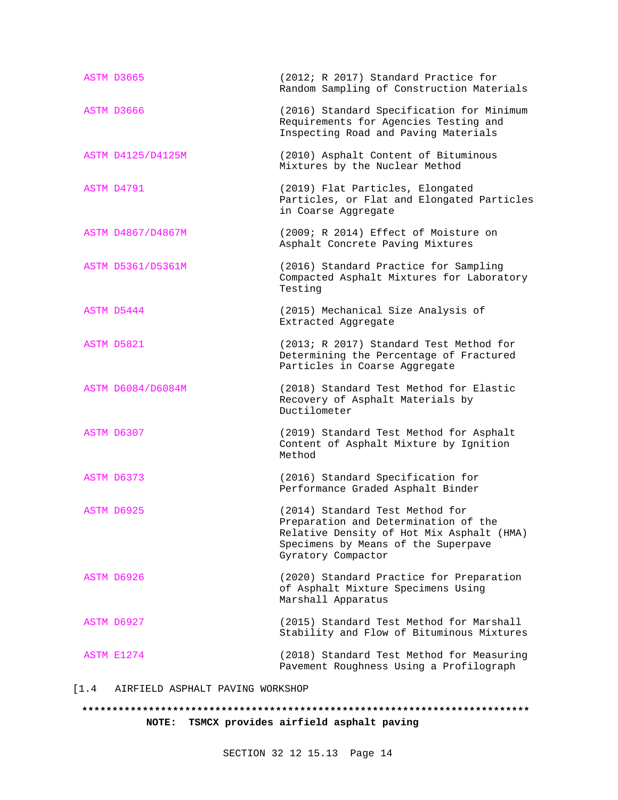| ASTM D3665        | (2012; R 2017) Standard Practice for<br>Random Sampling of Construction Materials                                                                                                 |
|-------------------|-----------------------------------------------------------------------------------------------------------------------------------------------------------------------------------|
| ASTM D3666        | (2016) Standard Specification for Minimum<br>Requirements for Agencies Testing and<br>Inspecting Road and Paving Materials                                                        |
| ASTM D4125/D4125M | (2010) Asphalt Content of Bituminous<br>Mixtures by the Nuclear Method                                                                                                            |
| ASTM D4791        | (2019) Flat Particles, Elongated<br>Particles, or Flat and Elongated Particles<br>in Coarse Aggregate                                                                             |
| ASTM D4867/D4867M | (2009; R 2014) Effect of Moisture on<br>Asphalt Concrete Paving Mixtures                                                                                                          |
| ASTM D5361/D5361M | (2016) Standard Practice for Sampling<br>Compacted Asphalt Mixtures for Laboratory<br>Testing                                                                                     |
| ASTM D5444        | (2015) Mechanical Size Analysis of<br>Extracted Aggregate                                                                                                                         |
| ASTM D5821        | (2013; R 2017) Standard Test Method for<br>Determining the Percentage of Fractured<br>Particles in Coarse Aggregate                                                               |
| ASTM D6084/D6084M | (2018) Standard Test Method for Elastic<br>Recovery of Asphalt Materials by<br>Ductilometer                                                                                       |
| ASTM D6307        | (2019) Standard Test Method for Asphalt<br>Content of Asphalt Mixture by Ignition<br>Method                                                                                       |
| ASTM D6373        | (2016) Standard Specification for<br>Performance Graded Asphalt Binder                                                                                                            |
| ASTM D6925        | (2014) Standard Test Method for<br>Preparation and Determination of the<br>Relative Density of Hot Mix Asphalt (HMA)<br>Specimens by Means of the Superpave<br>Gyratory Compactor |
| ASTM D6926        | (2020) Standard Practice for Preparation<br>of Asphalt Mixture Specimens Using<br>Marshall Apparatus                                                                              |
| ASTM D6927        | (2015) Standard Test Method for Marshall<br>Stability and Flow of Bituminous Mixtures                                                                                             |
| ASTM E1274        | (2018) Standard Test Method for Measuring<br>Pavement Roughness Using a Profilograph                                                                                              |

[1.4 AIRFIELD ASPHALT PAVING WORKSHOP

# **\*\*\*\*\*\*\*\*\*\*\*\*\*\*\*\*\*\*\*\*\*\*\*\*\*\*\*\*\*\*\*\*\*\*\*\*\*\*\*\*\*\*\*\*\*\*\*\*\*\*\*\*\*\*\*\*\*\*\*\*\*\*\*\*\*\*\*\*\*\*\*\*\*\* NOTE: TSMCX provides airfield asphalt paving**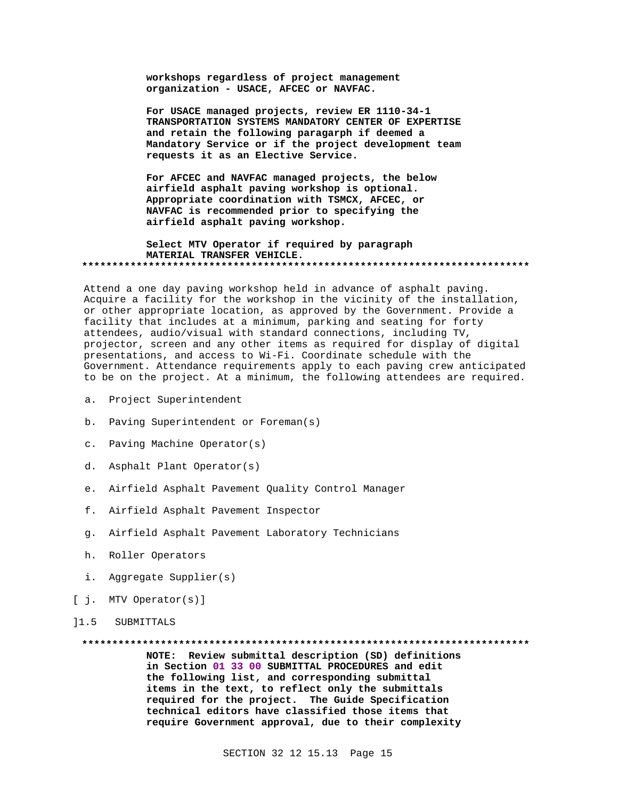workshops regardless of project management organization - USACE, AFCEC or NAVFAC.

For USACE managed projects, review ER 1110-34-1 TRANSPORTATION SYSTEMS MANDATORY CENTER OF EXPERTISE and retain the following paragarph if deemed a Mandatory Service or if the project development team requests it as an Elective Service.

For AFCEC and NAVFAC managed projects, the below airfield asphalt paving workshop is optional. Appropriate coordination with TSMCX, AFCEC, or NAVFAC is recommended prior to specifying the airfield asphalt paving workshop.

#### Select MTV Operator if required by paragraph MATERIAL TRANSFER VEHICLE.

Attend a one day paving workshop held in advance of asphalt paving. Acquire a facility for the workshop in the vicinity of the installation, or other appropriate location, as approved by the Government. Provide a facility that includes at a minimum, parking and seating for forty attendees, audio/visual with standard connections, including TV, projector, screen and any other items as required for display of digital presentations, and access to Wi-Fi. Coordinate schedule with the Government. Attendance requirements apply to each paving crew anticipated to be on the project. At a minimum, the following attendees are required.

- a. Project Superintendent
- b. Paving Superintendent or Foreman(s)
- c. Paving Machine Operator(s)
- d. Asphalt Plant Operator(s)
- e. Airfield Asphalt Pavement Quality Control Manager
- f. Airfield Asphalt Pavement Inspector
- g. Airfield Asphalt Pavement Laboratory Technicians
- h. Roller Operators
- i. Aggregate Supplier(s)
- [ j. MTV Operator(s)]
- $11.5$ SUBMITTALS

#### 

NOTE: Review submittal description (SD) definitions in Section 01 33 00 SUBMITTAL PROCEDURES and edit the following list, and corresponding submittal items in the text, to reflect only the submittals required for the project. The Guide Specification technical editors have classified those items that require Government approval, due to their complexity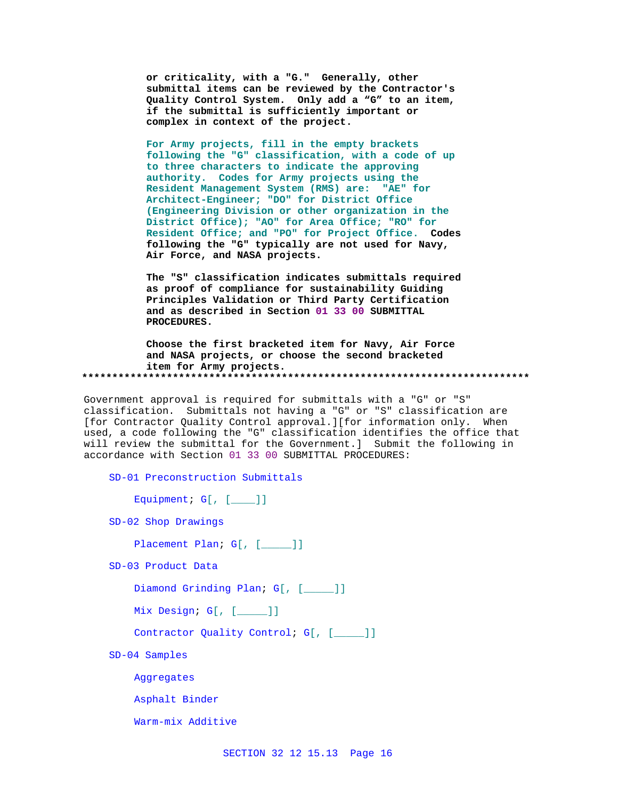or criticality, with a "G." Generally, other submittal items can be reviewed by the Contractor's Quality Control System. Only add a "G" to an item, if the submittal is sufficiently important or complex in context of the project.

For Army projects, fill in the empty brackets following the "G" classification, with a code of up to three characters to indicate the approving authority. Codes for Army projects using the Resident Management System (RMS) are: "AE" for Architect-Engineer; "DO" for District Office (Engineering Division or other organization in the District Office); "AO" for Area Office; "RO" for Resident Office; and "PO" for Project Office. Codes following the "G" typically are not used for Navy, Air Force, and NASA projects.

The "S" classification indicates submittals required as proof of compliance for sustainability Guiding Principles Validation or Third Party Certification and as described in Section 01 33 00 SUBMITTAL PROCEDURES.

Choose the first bracketed item for Navy, Air Force and NASA projects, or choose the second bracketed item for Army projects. 

Government approval is required for submittals with a "G" or "S" classification. Submittals not having a "G" or "S" classification are [for Contractor Quality Control approval.][for information only. When used, a code following the "G" classification identifies the office that will review the submittal for the Government.] Submit the following in accordance with Section 01 33 00 SUBMITTAL PROCEDURES:

SD-01 Preconstruction Submittals

Equipment;  $G[$ ,  $[$  [  $]$ ]]

SD-02 Shop Drawings

```
Placement Plan; G[, [ ]]
```
SD-03 Product Data

Diamond Grinding Plan; G[, [\_\_\_\_]]

Mix Design; G[, [\_\_\_\_]]

Contractor Quality Control; G[, [\_\_\_\_]]

SD-04 Samples

Aggregates

Asphalt Binder

Warm-mix Additive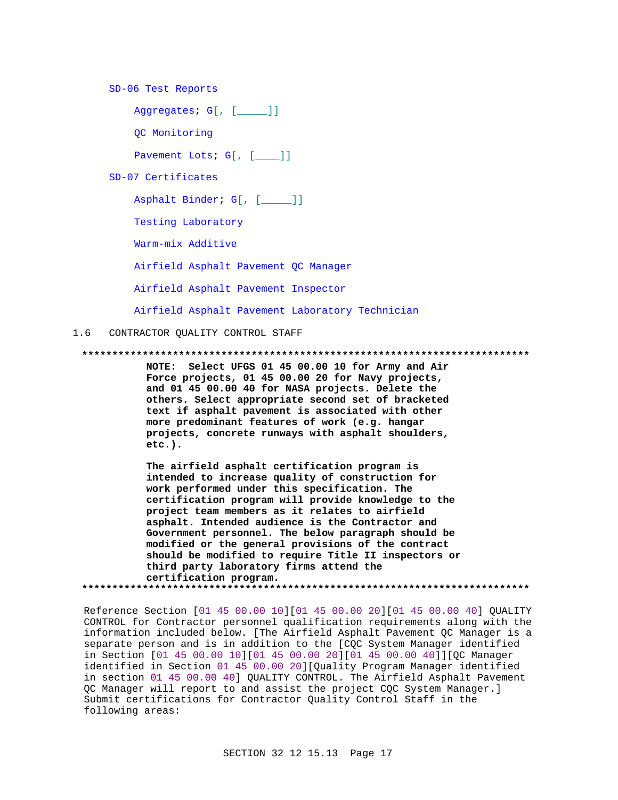SD-06 Test Reports

Aggregates; G[, [\_\_\_\_\_]]

QC Monitoring

Pavement Lots; G[, [\_\_\_]]

SD-07 Certificates

Asphalt Binder; G[, [\_\_\_\_\_]]

Testing Laboratory

Warm-mix Additive

Airfield Asphalt Pavement QC Manager

Airfield Asphalt Pavement Inspector

Airfield Asphalt Pavement Laboratory Technician

## 1.6 CONTRACTOR QUALITY CONTROL STAFF

#### **\*\*\*\*\*\*\*\*\*\*\*\*\*\*\*\*\*\*\*\*\*\*\*\*\*\*\*\*\*\*\*\*\*\*\*\*\*\*\*\*\*\*\*\*\*\*\*\*\*\*\*\*\*\*\*\*\*\*\*\*\*\*\*\*\*\*\*\*\*\*\*\*\*\***

**NOTE: Select UFGS 01 45 00.00 10 for Army and Air Force projects, 01 45 00.00 20 for Navy projects, and 01 45 00.00 40 for NASA projects. Delete the others. Select appropriate second set of bracketed text if asphalt pavement is associated with other more predominant features of work (e.g. hangar projects, concrete runways with asphalt shoulders, etc.).** 

**The airfield asphalt certification program is intended to increase quality of construction for work performed under this specification. The certification program will provide knowledge to the project team members as it relates to airfield asphalt. Intended audience is the Contractor and Government personnel. The below paragraph should be modified or the general provisions of the contract should be modified to require Title II inspectors or third party laboratory firms attend the certification program. \*\*\*\*\*\*\*\*\*\*\*\*\*\*\*\*\*\*\*\*\*\*\*\*\*\*\*\*\*\*\*\*\*\*\*\*\*\*\*\*\*\*\*\*\*\*\*\*\*\*\*\*\*\*\*\*\*\*\*\*\*\*\*\*\*\*\*\*\*\*\*\*\*\***

Reference Section [01 45 00.00 10][01 45 00.00 20][01 45 00.00 40] QUALITY CONTROL for Contractor personnel qualification requirements along with the information included below. [The Airfield Asphalt Pavement QC Manager is a separate person and is in addition to the [CQC System Manager identified in Section [01 45 00.00 10][01 45 00.00 20][01 45 00.00 40]][QC Manager identified in Section 01 45 00.00 20][Quality Program Manager identified in section 01 45 00.00 40] QUALITY CONTROL. The Airfield Asphalt Pavement QC Manager will report to and assist the project CQC System Manager.] Submit certifications for Contractor Quality Control Staff in the following areas: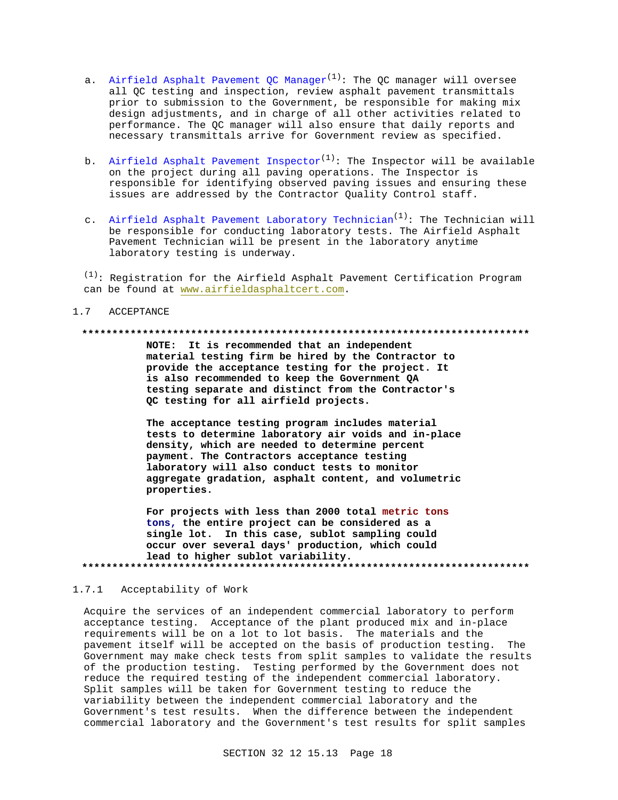- a. Airfield Asphalt Pavement OC Manager<sup>(1)</sup>: The OC manager will oversee all QC testing and inspection, review asphalt pavement transmittals prior to submission to the Government, be responsible for making mix design adjustments, and in charge of all other activities related to performance. The QC manager will also ensure that daily reports and necessary transmittals arrive for Government review as specified.
- b. Airfield Asphalt Pavement Inspector<sup>(1)</sup>: The Inspector will be available on the project during all paving operations. The Inspector is responsible for identifying observed paving issues and ensuring these issues are addressed by the Contractor Quality Control staff.
- c. Airfield Asphalt Pavement Laboratory Technician<sup>(1)</sup>: The Technician will be responsible for conducting laboratory tests. The Airfield Asphalt Pavement Technician will be present in the laboratory anytime laboratory testing is underway.

 $(1)$ : Registration for the Airfield Asphalt Pavement Certification Program can be found at www.airfieldasphaltcert.com.

#### $1.7$ ACCEPTANCE

#### 

NOTE: It is recommended that an independent material testing firm be hired by the Contractor to provide the acceptance testing for the project. It is also recommended to keep the Government QA testing separate and distinct from the Contractor's QC testing for all airfield projects.

The acceptance testing program includes material tests to determine laboratory air voids and in-place density, which are needed to determine percent payment. The Contractors acceptance testing laboratory will also conduct tests to monitor aggregate gradation, asphalt content, and volumetric properties.

For projects with less than 2000 total metric tons tons, the entire project can be considered as a single lot. In this case, sublot sampling could occur over several days' production, which could lead to higher sublot variability. 

#### $1.7.1$ Acceptability of Work

Acquire the services of an independent commercial laboratory to perform acceptance testing. Acceptance of the plant produced mix and in-place requirements will be on a lot to lot basis. The materials and the pavement itself will be accepted on the basis of production testing. The Government may make check tests from split samples to validate the results of the production testing. Testing performed by the Government does not reduce the required testing of the independent commercial laboratory. Split samples will be taken for Government testing to reduce the variability between the independent commercial laboratory and the Government's test results. When the difference between the independent commercial laboratory and the Government's test results for split samples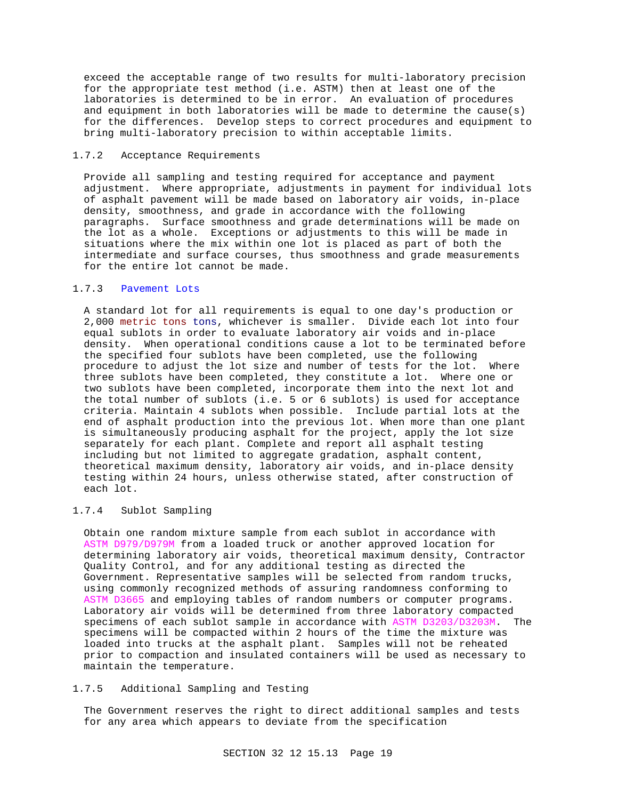exceed the acceptable range of two results for multi-laboratory precision for the appropriate test method (i.e. ASTM) then at least one of the laboratories is determined to be in error. An evaluation of procedures and equipment in both laboratories will be made to determine the cause(s) for the differences. Develop steps to correct procedures and equipment to bring multi-laboratory precision to within acceptable limits.

## 1.7.2 Acceptance Requirements

Provide all sampling and testing required for acceptance and payment adjustment. Where appropriate, adjustments in payment for individual lots of asphalt pavement will be made based on laboratory air voids, in-place density, smoothness, and grade in accordance with the following paragraphs. Surface smoothness and grade determinations will be made on the lot as a whole. Exceptions or adjustments to this will be made in situations where the mix within one lot is placed as part of both the intermediate and surface courses, thus smoothness and grade measurements for the entire lot cannot be made.

## 1.7.3 Pavement Lots

A standard lot for all requirements is equal to one day's production or 2,000 metric tons tons, whichever is smaller. Divide each lot into four equal sublots in order to evaluate laboratory air voids and in-place density. When operational conditions cause a lot to be terminated before the specified four sublots have been completed, use the following procedure to adjust the lot size and number of tests for the lot. Where three sublots have been completed, they constitute a lot. Where one or two sublots have been completed, incorporate them into the next lot and the total number of sublots (i.e. 5 or 6 sublots) is used for acceptance criteria. Maintain 4 sublots when possible. Include partial lots at the end of asphalt production into the previous lot. When more than one plant is simultaneously producing asphalt for the project, apply the lot size separately for each plant. Complete and report all asphalt testing including but not limited to aggregate gradation, asphalt content, theoretical maximum density, laboratory air voids, and in-place density testing within 24 hours, unless otherwise stated, after construction of each lot.

# 1.7.4 Sublot Sampling

Obtain one random mixture sample from each sublot in accordance with ASTM D979/D979M from a loaded truck or another approved location for determining laboratory air voids, theoretical maximum density, Contractor Quality Control, and for any additional testing as directed the Government. Representative samples will be selected from random trucks, using commonly recognized methods of assuring randomness conforming to ASTM D3665 and employing tables of random numbers or computer programs. Laboratory air voids will be determined from three laboratory compacted specimens of each sublot sample in accordance with ASTM D3203/D3203M. The specimens will be compacted within 2 hours of the time the mixture was loaded into trucks at the asphalt plant. Samples will not be reheated prior to compaction and insulated containers will be used as necessary to maintain the temperature.

# 1.7.5 Additional Sampling and Testing

The Government reserves the right to direct additional samples and tests for any area which appears to deviate from the specification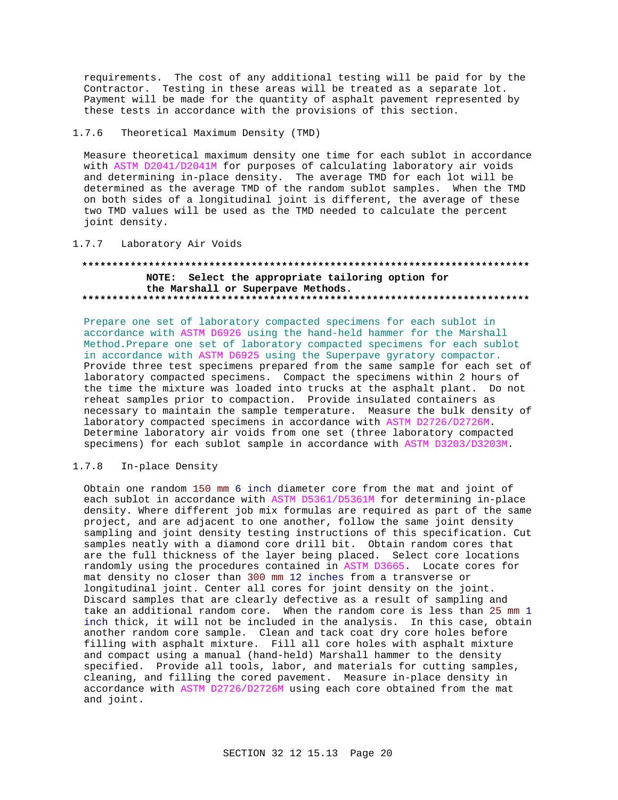requirements. The cost of any additional testing will be paid for by the Contractor. Testing in these areas will be treated as a separate lot. Payment will be made for the quantity of asphalt pavement represented by these tests in accordance with the provisions of this section.

# 1.7.6 Theoretical Maximum Density (TMD)

Measure theoretical maximum density one time for each sublot in accordance with ASTM D2041/D2041M for purposes of calculating laboratory air voids and determining in-place density. The average TMD for each lot will be determined as the average TMD of the random sublot samples. When the TMD on both sides of a longitudinal joint is different, the average of these two TMD values will be used as the TMD needed to calculate the percent joint density.

1.7.7 Laboratory Air Voids

## **\*\*\*\*\*\*\*\*\*\*\*\*\*\*\*\*\*\*\*\*\*\*\*\*\*\*\*\*\*\*\*\*\*\*\*\*\*\*\*\*\*\*\*\*\*\*\*\*\*\*\*\*\*\*\*\*\*\*\*\*\*\*\*\*\*\*\*\*\*\*\*\*\*\* NOTE: Select the appropriate tailoring option for the Marshall or Superpave Methods. \*\*\*\*\*\*\*\*\*\*\*\*\*\*\*\*\*\*\*\*\*\*\*\*\*\*\*\*\*\*\*\*\*\*\*\*\*\*\*\*\*\*\*\*\*\*\*\*\*\*\*\*\*\*\*\*\*\*\*\*\*\*\*\*\*\*\*\*\*\*\*\*\*\***

Prepare one set of laboratory compacted specimens for each sublot in accordance with ASTM D6926 using the hand-held hammer for the Marshall Method.Prepare one set of laboratory compacted specimens for each sublot in accordance with ASTM D6925 using the Superpave gyratory compactor. Provide three test specimens prepared from the same sample for each set of laboratory compacted specimens. Compact the specimens within 2 hours of the time the mixture was loaded into trucks at the asphalt plant. Do not reheat samples prior to compaction. Provide insulated containers as necessary to maintain the sample temperature. Measure the bulk density of laboratory compacted specimens in accordance with ASTM D2726/D2726M. Determine laboratory air voids from one set (three laboratory compacted specimens) for each sublot sample in accordance with ASTM D3203/D3203M.

# 1.7.8 In-place Density

Obtain one random 150 mm 6 inch diameter core from the mat and joint of each sublot in accordance with ASTM D5361/D5361M for determining in-place density. Where different job mix formulas are required as part of the same project, and are adjacent to one another, follow the same joint density sampling and joint density testing instructions of this specification. Cut samples neatly with a diamond core drill bit. Obtain random cores that are the full thickness of the layer being placed. Select core locations randomly using the procedures contained in ASTM D3665. Locate cores for mat density no closer than 300 mm 12 inches from a transverse or longitudinal joint. Center all cores for joint density on the joint. Discard samples that are clearly defective as a result of sampling and take an additional random core. When the random core is less than 25 mm 1 inch thick, it will not be included in the analysis. In this case, obtain another random core sample. Clean and tack coat dry core holes before filling with asphalt mixture. Fill all core holes with asphalt mixture and compact using a manual (hand-held) Marshall hammer to the density specified. Provide all tools, labor, and materials for cutting samples, cleaning, and filling the cored pavement. Measure in-place density in accordance with ASTM D2726/D2726M using each core obtained from the mat and joint.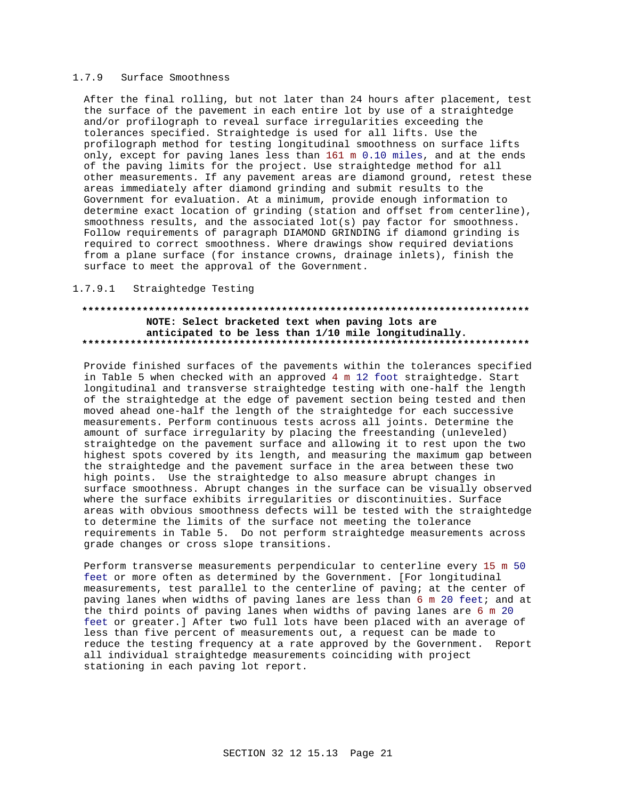#### $1.7.9$ Surface Smoothness

After the final rolling, but not later than 24 hours after placement, test the surface of the pavement in each entire lot by use of a straightedge and/or profilograph to reveal surface irregularities exceeding the tolerances specified. Straightedge is used for all lifts. Use the profilograph method for testing longitudinal smoothness on surface lifts only, except for paving lanes less than 161 m 0.10 miles, and at the ends of the paving limits for the project. Use straightedge method for all other measurements. If any pavement areas are diamond ground, retest these areas immediately after diamond grinding and submit results to the Government for evaluation. At a minimum, provide enough information to determine exact location of grinding (station and offset from centerline), smoothness results, and the associated lot(s) pay factor for smoothness. Follow requirements of paragraph DIAMOND GRINDING if diamond grinding is required to correct smoothness. Where drawings show required deviations from a plane surface (for instance crowns, drainage inlets), finish the surface to meet the approval of the Government.

## 1.7.9.1 Straightedge Testing

# NOTE: Select bracketed text when paving lots are anticipated to be less than 1/10 mile longitudinally.

Provide finished surfaces of the pavements within the tolerances specified in Table 5 when checked with an approved 4 m 12 foot straightedge. Start longitudinal and transverse straightedge testing with one-half the length of the straightedge at the edge of pavement section being tested and then moved ahead one-half the length of the straightedge for each successive measurements. Perform continuous tests across all joints. Determine the amount of surface irregularity by placing the freestanding (unleveled) straightedge on the pavement surface and allowing it to rest upon the two highest spots covered by its length, and measuring the maximum gap between the straightedge and the pavement surface in the area between these two high points. Use the straightedge to also measure abrupt changes in surface smoothness. Abrupt changes in the surface can be visually observed where the surface exhibits irregularities or discontinuities. Surface areas with obvious smoothness defects will be tested with the straightedge to determine the limits of the surface not meeting the tolerance requirements in Table 5. Do not perform straightedge measurements across grade changes or cross slope transitions.

Perform transverse measurements perpendicular to centerline every 15 m 50 feet or more often as determined by the Government. [For longitudinal measurements, test parallel to the centerline of paving; at the center of paving lanes when widths of paving lanes are less than 6 m 20 feet; and at the third points of paving lanes when widths of paving lanes are 6 m 20 feet or greater.] After two full lots have been placed with an average of less than five percent of measurements out, a request can be made to reduce the testing frequency at a rate approved by the Government. Report all individual straightedge measurements coinciding with project stationing in each paving lot report.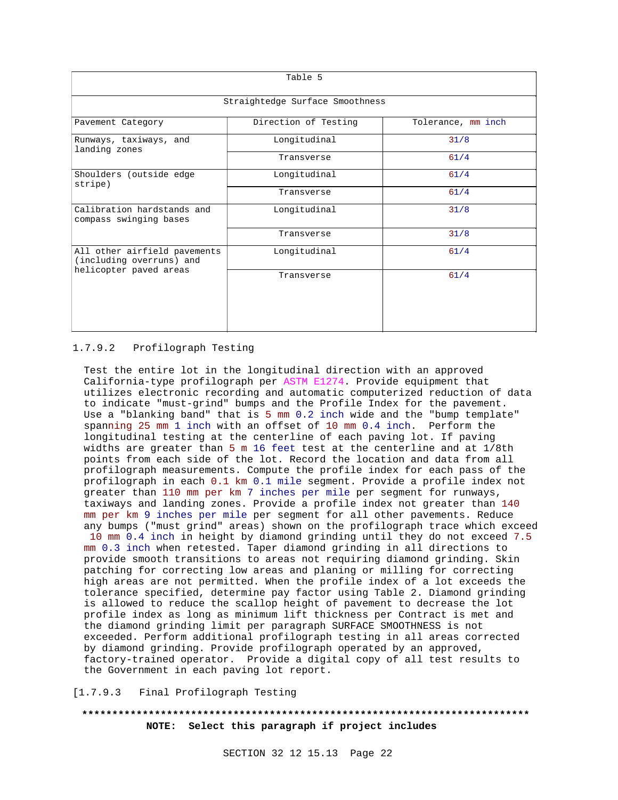| Table 5                                                                            |                                 |                    |  |
|------------------------------------------------------------------------------------|---------------------------------|--------------------|--|
|                                                                                    | Straightedge Surface Smoothness |                    |  |
| Pavement Category                                                                  | Direction of Testing            | Tolerance, mm inch |  |
| Runways, taxiways, and<br>landing zones                                            | Longitudinal                    | 31/8               |  |
|                                                                                    | Transverse                      | 61/4               |  |
| Shoulders (outside edge<br>stripe)                                                 | Longitudinal                    | 61/4               |  |
|                                                                                    | Transverse                      | 61/4               |  |
| Calibration hardstands and<br>compass swinging bases                               | Longitudinal                    | 31/8               |  |
|                                                                                    | Transverse                      | 31/8               |  |
| All other airfield pavements<br>(including overruns) and<br>helicopter paved areas | Longitudinal                    | 61/4               |  |
|                                                                                    | Transverse                      | 61/4               |  |
|                                                                                    |                                 |                    |  |
|                                                                                    |                                 |                    |  |

## 1.7.9.2 Profilograph Testing

Test the entire lot in the longitudinal direction with an approved California-type profilograph per ASTM E1274. Provide equipment that utilizes electronic recording and automatic computerized reduction of data to indicate "must-grind" bumps and the Profile Index for the pavement. Use a "blanking band" that is 5 mm 0.2 inch wide and the "bump template" spanning 25 mm 1 inch with an offset of 10 mm 0.4 inch. Perform the longitudinal testing at the centerline of each paving lot. If paving widths are greater than 5 m 16 feet test at the centerline and at 1/8th points from each side of the lot. Record the location and data from all profilograph measurements. Compute the profile index for each pass of the profilograph in each 0.1 km 0.1 mile segment. Provide a profile index not greater than 110 mm per km 7 inches per mile per segment for runways, taxiways and landing zones. Provide a profile index not greater than 140 mm per km 9 inches per mile per segment for all other pavements. Reduce any bumps ("must grind" areas) shown on the profilograph trace which exceed 10 mm 0.4 inch in height by diamond grinding until they do not exceed 7.5 mm 0.3 inch when retested. Taper diamond grinding in all directions to provide smooth transitions to areas not requiring diamond grinding. Skin patching for correcting low areas and planing or milling for correcting high areas are not permitted. When the profile index of a lot exceeds the tolerance specified, determine pay factor using Table 2. Diamond grinding is allowed to reduce the scallop height of pavement to decrease the lot profile index as long as minimum lift thickness per Contract is met and the diamond grinding limit per paragraph SURFACE SMOOTHNESS is not exceeded. Perform additional profilograph testing in all areas corrected

by diamond grinding. Provide profilograph operated by an approved, factory-trained operator. Provide a digital copy of all test results to the Government in each paving lot report.

[1.7.9.3 Final Profilograph Testing

**\*\*\*\*\*\*\*\*\*\*\*\*\*\*\*\*\*\*\*\*\*\*\*\*\*\*\*\*\*\*\*\*\*\*\*\*\*\*\*\*\*\*\*\*\*\*\*\*\*\*\*\*\*\*\*\*\*\*\*\*\*\*\*\*\*\*\*\*\*\*\*\*\*\* NOTE: Select this paragraph if project includes**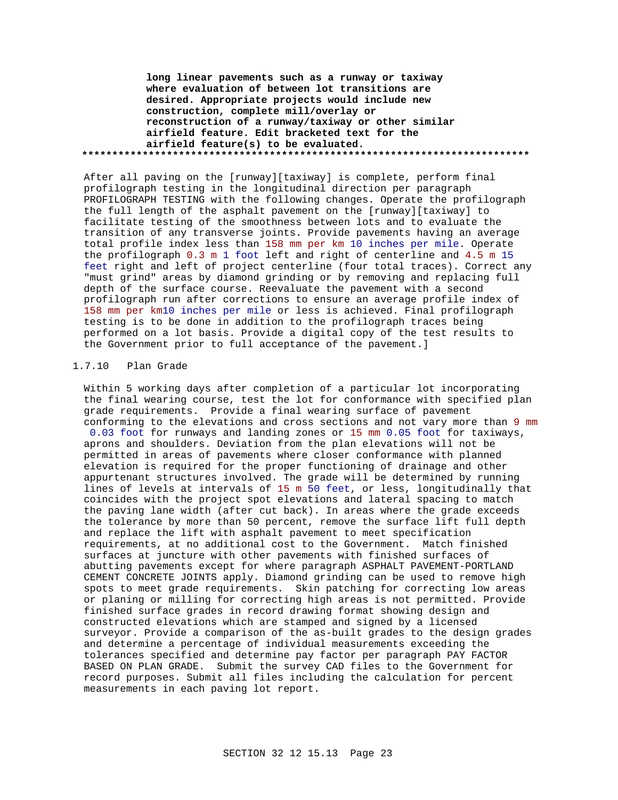**long linear pavements such as a runway or taxiway where evaluation of between lot transitions are desired. Appropriate projects would include new construction, complete mill/overlay or reconstruction of a runway/taxiway or other similar airfield feature. Edit bracketed text for the airfield feature(s) to be evaluated. \*\*\*\*\*\*\*\*\*\*\*\*\*\*\*\*\*\*\*\*\*\*\*\*\*\*\*\*\*\*\*\*\*\*\*\*\*\*\*\*\*\*\*\*\*\*\*\*\*\*\*\*\*\*\*\*\*\*\*\*\*\*\*\*\*\*\*\*\*\*\*\*\*\***

After all paving on the [runway][taxiway] is complete, perform final profilograph testing in the longitudinal direction per paragraph PROFILOGRAPH TESTING with the following changes. Operate the profilograph the full length of the asphalt pavement on the [runway][taxiway] to facilitate testing of the smoothness between lots and to evaluate the transition of any transverse joints. Provide pavements having an average total profile index less than 158 mm per km 10 inches per mile. Operate the profilograph 0.3 m 1 foot left and right of centerline and 4.5 m 15 feet right and left of project centerline (four total traces). Correct any "must grind" areas by diamond grinding or by removing and replacing full depth of the surface course. Reevaluate the pavement with a second profilograph run after corrections to ensure an average profile index of 158 mm per km10 inches per mile or less is achieved. Final profilograph testing is to be done in addition to the profilograph traces being performed on a lot basis. Provide a digital copy of the test results to the Government prior to full acceptance of the pavement.]

# 1.7.10 Plan Grade

Within 5 working days after completion of a particular lot incorporating the final wearing course, test the lot for conformance with specified plan grade requirements. Provide a final wearing surface of pavement conforming to the elevations and cross sections and not vary more than 9 mm 0.03 foot for runways and landing zones or 15 mm 0.05 foot for taxiways, aprons and shoulders. Deviation from the plan elevations will not be permitted in areas of pavements where closer conformance with planned elevation is required for the proper functioning of drainage and other appurtenant structures involved. The grade will be determined by running lines of levels at intervals of 15 m 50 feet, or less, longitudinally that coincides with the project spot elevations and lateral spacing to match the paving lane width (after cut back). In areas where the grade exceeds the tolerance by more than 50 percent, remove the surface lift full depth and replace the lift with asphalt pavement to meet specification requirements, at no additional cost to the Government. Match finished surfaces at juncture with other pavements with finished surfaces of abutting pavements except for where paragraph ASPHALT PAVEMENT-PORTLAND CEMENT CONCRETE JOINTS apply. Diamond grinding can be used to remove high spots to meet grade requirements. Skin patching for correcting low areas or planing or milling for correcting high areas is not permitted. Provide finished surface grades in record drawing format showing design and constructed elevations which are stamped and signed by a licensed surveyor. Provide a comparison of the as-built grades to the design grades and determine a percentage of individual measurements exceeding the tolerances specified and determine pay factor per paragraph PAY FACTOR BASED ON PLAN GRADE. Submit the survey CAD files to the Government for record purposes. Submit all files including the calculation for percent measurements in each paving lot report.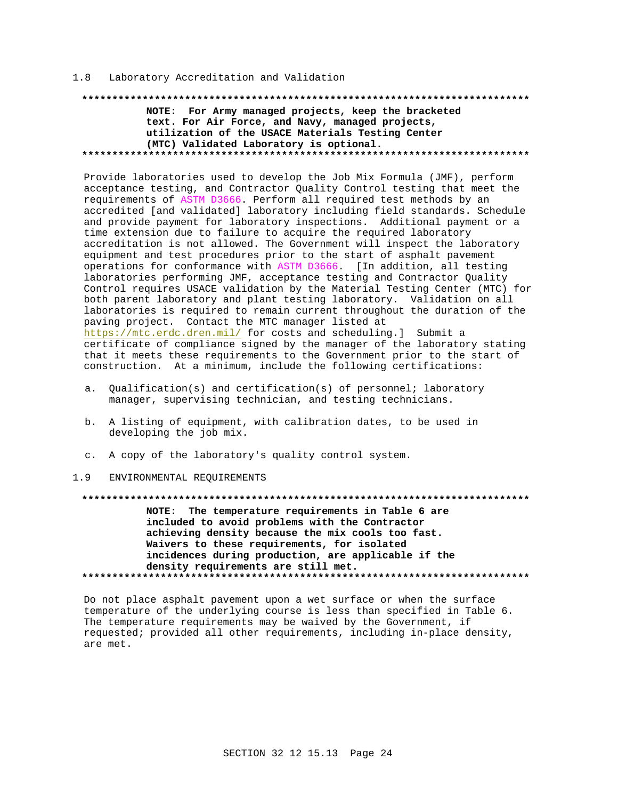#### Laboratory Accreditation and Validation  $1.8$

# NOTE: For Army managed projects, keep the bracketed text. For Air Force, and Navy, managed projects, utilization of the USACE Materials Testing Center (MTC) Validated Laboratory is optional.

Provide laboratories used to develop the Job Mix Formula (JMF), perform acceptance testing, and Contractor Quality Control testing that meet the requirements of ASTM D3666. Perform all required test methods by an accredited [and validated] laboratory including field standards. Schedule and provide payment for laboratory inspections. Additional payment or a time extension due to failure to acquire the required laboratory accreditation is not allowed. The Government will inspect the laboratory equipment and test procedures prior to the start of asphalt pavement operations for conformance with ASTM D3666. [In addition, all testing laboratories performing JMF, acceptance testing and Contractor Quality Control requires USACE validation by the Material Testing Center (MTC) for both parent laboratory and plant testing laboratory. Validation on all laboratories is required to remain current throughout the duration of the paving project. Contact the MTC manager listed at https://mtc.erdc.dren.mil/ for costs and scheduling.] Submit a certificate of compliance signed by the manager of the laboratory stating that it meets these requirements to the Government prior to the start of construction. At a minimum, include the following certifications:

- a. Qualification(s) and certification(s) of personnel; laboratory manager, supervising technician, and testing technicians.
- b. A listing of equipment, with calibration dates, to be used in developing the job mix.
- c. A copy of the laboratory's quality control system.

#### ENVIRONMENTAL REQUIREMENTS  $1 \cdot 9$

NOTE: The temperature requirements in Table 6 are included to avoid problems with the Contractor achieving density because the mix cools too fast. Waivers to these requirements, for isolated incidences during production, are applicable if the density requirements are still met. 

Do not place asphalt pavement upon a wet surface or when the surface temperature of the underlying course is less than specified in Table 6. The temperature requirements may be waived by the Government, if requested; provided all other requirements, including in-place density, are met.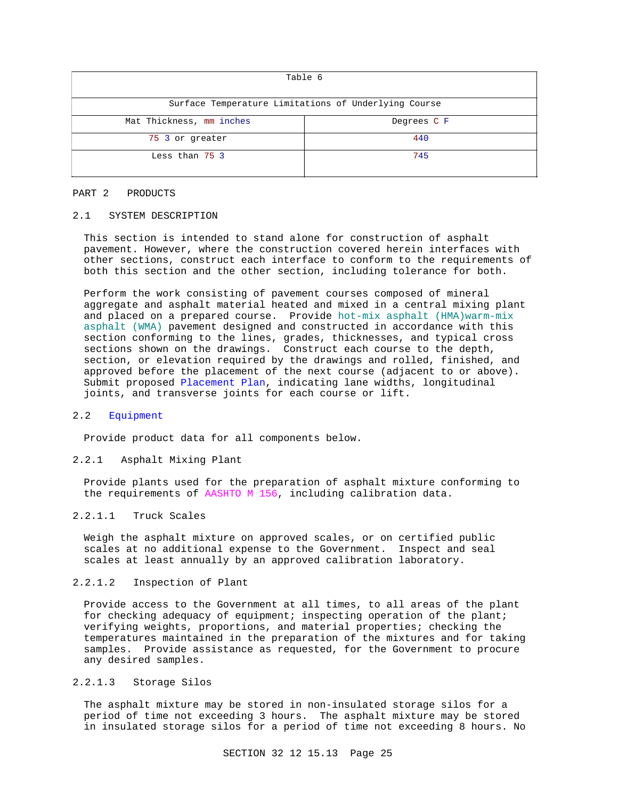| Table 6                                              |             |  |  |
|------------------------------------------------------|-------------|--|--|
| Surface Temperature Limitations of Underlying Course |             |  |  |
| Mat Thickness, mm inches                             | Degrees C F |  |  |
| 75 3 or greater                                      | 440         |  |  |
| Less than 75 3                                       | 745         |  |  |

#### PART 2 PRODUCTS

### 2.1 SYSTEM DESCRIPTION

This section is intended to stand alone for construction of asphalt pavement. However, where the construction covered herein interfaces with other sections, construct each interface to conform to the requirements of both this section and the other section, including tolerance for both.

Perform the work consisting of pavement courses composed of mineral aggregate and asphalt material heated and mixed in a central mixing plant and placed on a prepared course. Provide hot-mix asphalt (HMA)warm-mix asphalt (WMA) pavement designed and constructed in accordance with this section conforming to the lines, grades, thicknesses, and typical cross sections shown on the drawings. Construct each course to the depth, section, or elevation required by the drawings and rolled, finished, and approved before the placement of the next course (adjacent to or above). Submit proposed Placement Plan, indicating lane widths, longitudinal joints, and transverse joints for each course or lift.

## 2.2 Equipment

Provide product data for all components below.

#### 2.2.1 Asphalt Mixing Plant

Provide plants used for the preparation of asphalt mixture conforming to the requirements of AASHTO M 156, including calibration data.

# 2.2.1.1 Truck Scales

Weigh the asphalt mixture on approved scales, or on certified public scales at no additional expense to the Government. Inspect and seal scales at least annually by an approved calibration laboratory.

# 2.2.1.2 Inspection of Plant

Provide access to the Government at all times, to all areas of the plant for checking adequacy of equipment; inspecting operation of the plant; verifying weights, proportions, and material properties; checking the temperatures maintained in the preparation of the mixtures and for taking samples. Provide assistance as requested, for the Government to procure any desired samples.

## 2.2.1.3 Storage Silos

The asphalt mixture may be stored in non-insulated storage silos for a period of time not exceeding 3 hours. The asphalt mixture may be stored in insulated storage silos for a period of time not exceeding 8 hours. No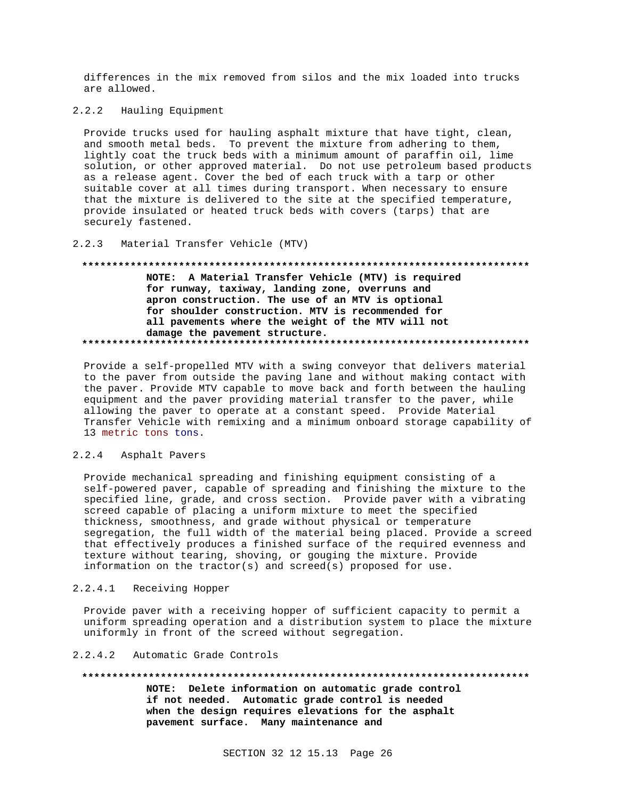differences in the mix removed from silos and the mix loaded into trucks are allowed.

 $2.2.2$ Hauling Equipment

Provide trucks used for hauling asphalt mixture that have tight, clean, and smooth metal beds. To prevent the mixture from adhering to them, lightly coat the truck beds with a minimum amount of paraffin oil, lime solution, or other approved material. Do not use petroleum based products as a release agent. Cover the bed of each truck with a tarp or other suitable cover at all times during transport. When necessary to ensure that the mixture is delivered to the site at the specified temperature, provide insulated or heated truck beds with covers (tarps) that are securely fastened.

#### $2, 2, 3$ Material Transfer Vehicle (MTV)

# NOTE: A Material Transfer Vehicle (MTV) is required for runway, taxiway, landing zone, overruns and apron construction. The use of an MTV is optional for shoulder construction. MTV is recommended for all pavements where the weight of the MTV will not damage the pavement structure.

Provide a self-propelled MTV with a swing conveyor that delivers material to the paver from outside the paving lane and without making contact with the paver. Provide MTV capable to move back and forth between the hauling equipment and the paver providing material transfer to the paver, while allowing the paver to operate at a constant speed. Provide Material Transfer Vehicle with remixing and a minimum onboard storage capability of 13 metric tons tons.

#### $2.2.4$ Asphalt Pavers

Provide mechanical spreading and finishing equipment consisting of a self-powered paver, capable of spreading and finishing the mixture to the specified line, grade, and cross section. Provide paver with a vibrating screed capable of placing a uniform mixture to meet the specified thickness, smoothness, and grade without physical or temperature segregation, the full width of the material being placed. Provide a screed that effectively produces a finished surface of the required evenness and texture without tearing, shoving, or gouging the mixture. Provide information on the tractor(s) and screed(s) proposed for use.

#### $2.2.4.1$ Receiving Hopper

Provide paver with a receiving hopper of sufficient capacity to permit a uniform spreading operation and a distribution system to place the mixture uniformly in front of the screed without segregation.

#### 2.2.4.2 Automatic Grade Controls

#### \*\*\*\*\*\*\*\*\*\*\*\* \*\*\*\*\*\*\*\*\*\*\*\*\*\*\*

NOTE: Delete information on automatic grade control if not needed. Automatic grade control is needed when the design requires elevations for the asphalt pavement surface. Many maintenance and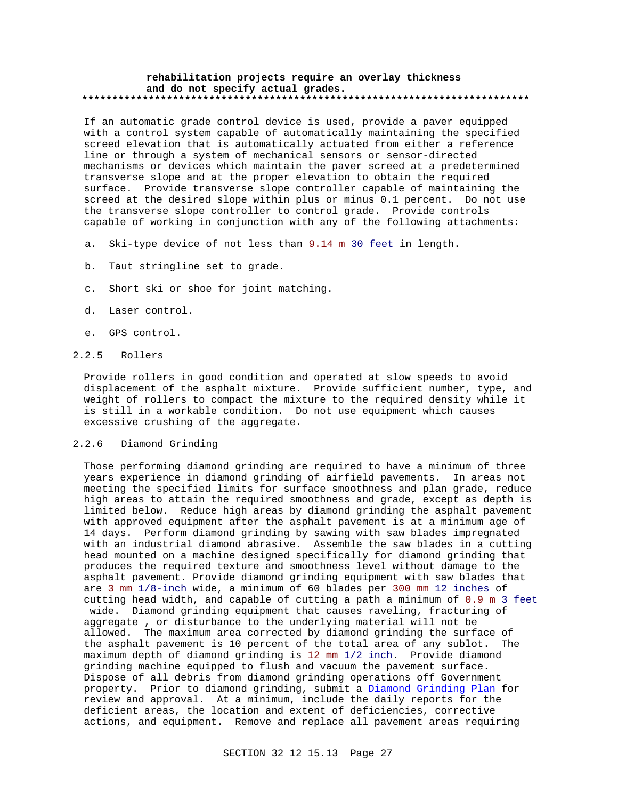#### **rehabilitation projects require an overlay thickness and do not specify actual grades. \*\*\*\*\*\*\*\*\*\*\*\*\*\*\*\*\*\*\*\*\*\*\*\*\*\*\*\*\*\*\*\*\*\*\*\*\*\*\*\*\*\*\*\*\*\*\*\*\*\*\*\*\*\*\*\*\*\*\*\*\*\*\*\*\*\*\*\*\*\*\*\*\*\***

If an automatic grade control device is used, provide a paver equipped with a control system capable of automatically maintaining the specified screed elevation that is automatically actuated from either a reference line or through a system of mechanical sensors or sensor-directed mechanisms or devices which maintain the paver screed at a predetermined transverse slope and at the proper elevation to obtain the required surface. Provide transverse slope controller capable of maintaining the screed at the desired slope within plus or minus 0.1 percent. Do not use the transverse slope controller to control grade. Provide controls capable of working in conjunction with any of the following attachments:

- a. Ski-type device of not less than 9.14 m 30 feet in length.
- b. Taut stringline set to grade.
- c. Short ski or shoe for joint matching.
- d. Laser control.
- e. GPS control.

### 2.2.5 Rollers

Provide rollers in good condition and operated at slow speeds to avoid displacement of the asphalt mixture. Provide sufficient number, type, and weight of rollers to compact the mixture to the required density while it is still in a workable condition. Do not use equipment which causes excessive crushing of the aggregate.

## 2.2.6 Diamond Grinding

Those performing diamond grinding are required to have a minimum of three years experience in diamond grinding of airfield pavements. In areas not meeting the specified limits for surface smoothness and plan grade, reduce high areas to attain the required smoothness and grade, except as depth is limited below. Reduce high areas by diamond grinding the asphalt pavement with approved equipment after the asphalt pavement is at a minimum age of 14 days. Perform diamond grinding by sawing with saw blades impregnated with an industrial diamond abrasive. Assemble the saw blades in a cutting head mounted on a machine designed specifically for diamond grinding that produces the required texture and smoothness level without damage to the asphalt pavement. Provide diamond grinding equipment with saw blades that are 3 mm 1/8-inch wide, a minimum of 60 blades per 300 mm 12 inches of cutting head width, and capable of cutting a path a minimum of 0.9 m 3 feet wide. Diamond grinding equipment that causes raveling, fracturing of aggregate , or disturbance to the underlying material will not be allowed. The maximum area corrected by diamond grinding the surface of the asphalt pavement is 10 percent of the total area of any sublot. The maximum depth of diamond grinding is 12 mm 1/2 inch. Provide diamond grinding machine equipped to flush and vacuum the pavement surface. Dispose of all debris from diamond grinding operations off Government property. Prior to diamond grinding, submit a Diamond Grinding Plan for review and approval. At a minimum, include the daily reports for the deficient areas, the location and extent of deficiencies, corrective actions, and equipment. Remove and replace all pavement areas requiring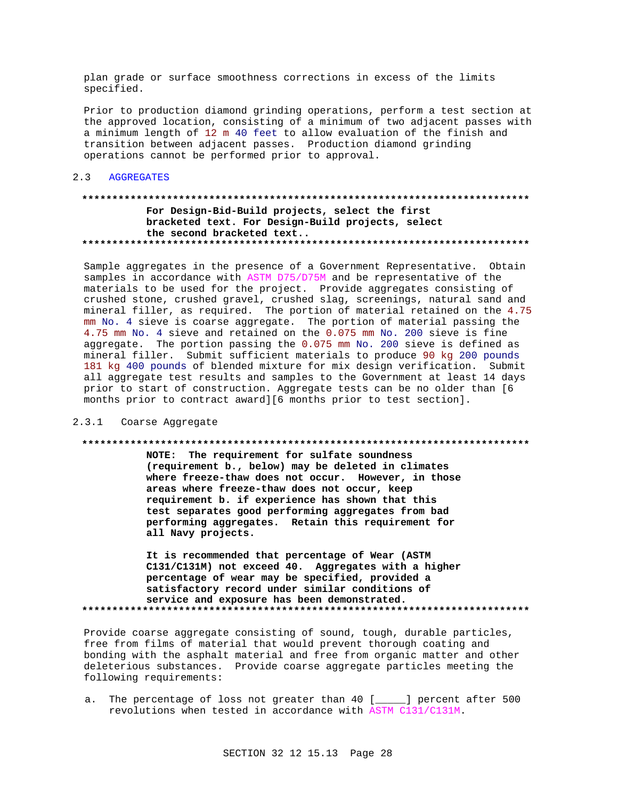plan grade or surface smoothness corrections in excess of the limits specified.

Prior to production diamond grinding operations, perform a test section at the approved location, consisting of a minimum of two adjacent passes with a minimum length of 12 m 40 feet to allow evaluation of the finish and transition between adjacent passes. Production diamond grinding operations cannot be performed prior to approval.

#### $2.3$ **AGGREGATES**

# For Design-Bid-Build projects, select the first bracketed text. For Design-Build projects, select the second bracketed text..

Sample aggregates in the presence of a Government Representative. Obtain samples in accordance with ASTM D75/D75M and be representative of the materials to be used for the project. Provide aggregates consisting of crushed stone, crushed gravel, crushed slag, screenings, natural sand and mineral filler, as required. The portion of material retained on the 4.75 mm No. 4 sieve is coarse aggregate. The portion of material passing the 4.75 mm No. 4 sieve and retained on the 0.075 mm No. 200 sieve is fine aggregate. The portion passing the 0.075 mm No. 200 sieve is defined as mineral filler. Submit sufficient materials to produce 90 kg 200 pounds 181 kg 400 pounds of blended mixture for mix design verification. Submit all aggregate test results and samples to the Government at least 14 days prior to start of construction. Aggregate tests can be no older than [6 months prior to contract award][6 months prior to test section].

#### 2.3.1 Coarse Aggregate

### 

NOTE: The requirement for sulfate soundness (requirement b., below) may be deleted in climates where freeze-thaw does not occur. However, in those areas where freeze-thaw does not occur, keep requirement b. if experience has shown that this test separates good performing aggregates from bad performing aggregates. Retain this requirement for all Navy projects.

It is recommended that percentage of Wear (ASTM C131/C131M) not exceed 40. Aggregates with a higher percentage of wear may be specified, provided a satisfactory record under similar conditions of service and exposure has been demonstrated. 

Provide coarse aggregate consisting of sound, tough, durable particles, free from films of material that would prevent thorough coating and bonding with the asphalt material and free from organic matter and other deleterious substances. Provide coarse aggregate particles meeting the following requirements:

The percentage of loss not greater than 40 [\_\_\_\_] percent after 500 а. revolutions when tested in accordance with ASTM C131/C131M.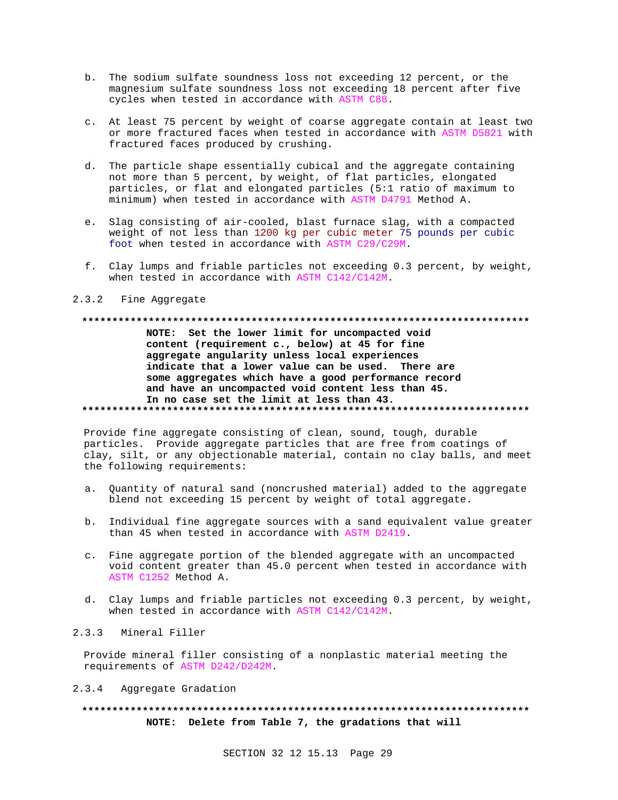- b. The sodium sulfate soundness loss not exceeding 12 percent, or the magnesium sulfate soundness loss not exceeding 18 percent after five cycles when tested in accordance with ASTM C88.
- c. At least 75 percent by weight of coarse aggregate contain at least two or more fractured faces when tested in accordance with ASTM D5821 with fractured faces produced by crushing.
- d. The particle shape essentially cubical and the aggregate containing not more than 5 percent, by weight, of flat particles, elongated particles, or flat and elongated particles (5:1 ratio of maximum to minimum) when tested in accordance with ASTM D4791 Method A.
- e. Slag consisting of air-cooled, blast furnace slag, with a compacted weight of not less than 1200 kg per cubic meter 75 pounds per cubic foot when tested in accordance with ASTM C29/C29M.
- f. Clay lumps and friable particles not exceeding 0.3 percent, by weight, when tested in accordance with ASTM C142/C142M.

#### 2.3.2 Fine Aggregate

# **\*\*\*\*\*\*\*\*\*\*\*\*\*\*\*\*\*\*\*\*\*\*\*\*\*\*\*\*\*\*\*\*\*\*\*\*\*\*\*\*\*\*\*\*\*\*\*\*\*\*\*\*\*\*\*\*\*\*\*\*\*\*\*\*\*\*\*\*\*\*\*\*\*\* NOTE: Set the lower limit for uncompacted void**

**content (requirement c., below) at 45 for fine aggregate angularity unless local experiences indicate that a lower value can be used. There are some aggregates which have a good performance record and have an uncompacted void content less than 45. In no case set the limit at less than 43. \*\*\*\*\*\*\*\*\*\*\*\*\*\*\*\*\*\*\*\*\*\*\*\*\*\*\*\*\*\*\*\*\*\*\*\*\*\*\*\*\*\*\*\*\*\*\*\*\*\*\*\*\*\*\*\*\*\*\*\*\*\*\*\*\*\*\*\*\*\*\*\*\*\***

Provide fine aggregate consisting of clean, sound, tough, durable particles. Provide aggregate particles that are free from coatings of clay, silt, or any objectionable material, contain no clay balls, and meet the following requirements:

- a. Quantity of natural sand (noncrushed material) added to the aggregate blend not exceeding 15 percent by weight of total aggregate.
- b. Individual fine aggregate sources with a sand equivalent value greater than 45 when tested in accordance with ASTM D2419.
- c. Fine aggregate portion of the blended aggregate with an uncompacted void content greater than 45.0 percent when tested in accordance with ASTM C1252 Method A.
- d. Clay lumps and friable particles not exceeding 0.3 percent, by weight, when tested in accordance with ASTM C142/C142M.

# 2.3.3 Mineral Filler

Provide mineral filler consisting of a nonplastic material meeting the requirements of ASTM D242/D242M.

### 2.3.4 Aggregate Gradation

# **\*\*\*\*\*\*\*\*\*\*\*\*\*\*\*\*\*\*\*\*\*\*\*\*\*\*\*\*\*\*\*\*\*\*\*\*\*\*\*\*\*\*\*\*\*\*\*\*\*\*\*\*\*\*\*\*\*\*\*\*\*\*\*\*\*\*\*\*\*\*\*\*\*\* NOTE: Delete from Table 7, the gradations that will**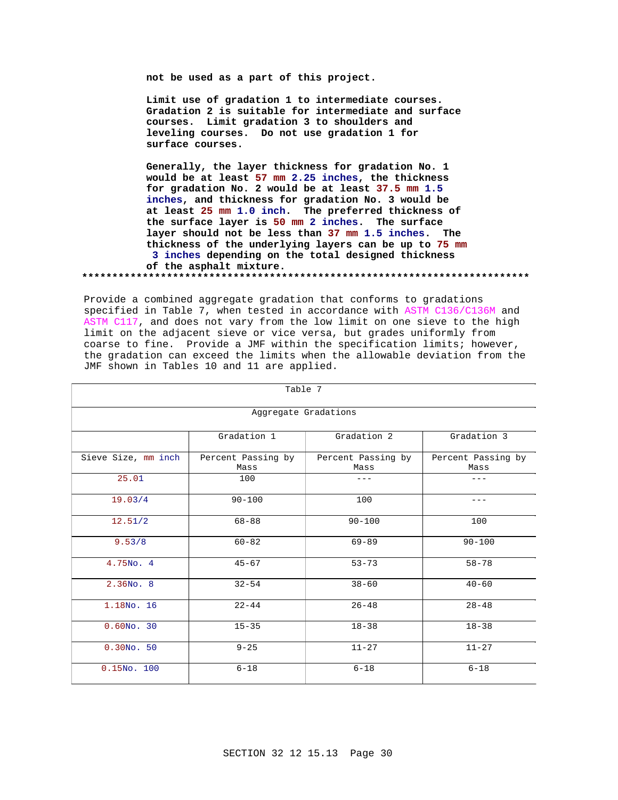**not be used as a part of this project.**

**Limit use of gradation 1 to intermediate courses. Gradation 2 is suitable for intermediate and surface courses. Limit gradation 3 to shoulders and leveling courses. Do not use gradation 1 for surface courses.**

**Generally, the layer thickness for gradation No. 1 would be at least 57 mm 2.25 inches, the thickness for gradation No. 2 would be at least 37.5 mm 1.5 inches, and thickness for gradation No. 3 would be at least 25 mm 1.0 inch. The preferred thickness of the surface layer is 50 mm 2 inches. The surface layer should not be less than 37 mm 1.5 inches. The thickness of the underlying layers can be up to 75 mm 3 inches depending on the total designed thickness of the asphalt mixture.**

**\*\*\*\*\*\*\*\*\*\*\*\*\*\*\*\*\*\*\*\*\*\*\*\*\*\*\*\*\*\*\*\*\*\*\*\*\*\*\*\*\*\*\*\*\*\*\*\*\*\*\*\*\*\*\*\*\*\*\*\*\*\*\*\*\*\*\*\*\*\*\*\*\*\***

Provide a combined aggregate gradation that conforms to gradations specified in Table 7, when tested in accordance with ASTM C136/C136M and ASTM C117, and does not vary from the low limit on one sieve to the high limit on the adjacent sieve or vice versa, but grades uniformly from coarse to fine. Provide a JMF within the specification limits; however, the gradation can exceed the limits when the allowable deviation from the JMF shown in Tables 10 and 11 are applied.

| Table 7             |                            |                            |                            |  |
|---------------------|----------------------------|----------------------------|----------------------------|--|
|                     | Aggregate Gradations       |                            |                            |  |
|                     | Gradation 1                | Gradation 2                | Gradation 3                |  |
| Sieve Size, mm inch | Percent Passing by<br>Mass | Percent Passing by<br>Mass | Percent Passing by<br>Mass |  |
| 25.01               | 100                        |                            |                            |  |
| 19.03/4             | $90 - 100$                 | 100                        | ---                        |  |
| 12.51/2             | $68 - 88$                  | $90 - 100$                 | 100                        |  |
| 9.53/8              | $60 - 82$                  | $69 - 89$                  | $90 - 100$                 |  |
| 4.75No. 4           | $45 - 67$                  | $53 - 73$                  | $58 - 78$                  |  |
| $2.36N0$ . 8        | $32 - 54$                  | $38 - 60$                  | $40 - 60$                  |  |
| 1.18No. 16          | $22 - 44$                  | $26 - 48$                  | $28 - 48$                  |  |
| $0.60NO$ . 30       | $15 - 35$                  | $18 - 38$                  | $18 - 38$                  |  |
| $0.30NO$ . 50       | $9 - 25$                   | $11 - 27$                  | $11 - 27$                  |  |
| $0.15N0$ . 100      | $6 - 18$                   | $6 - 18$                   | $6 - 18$                   |  |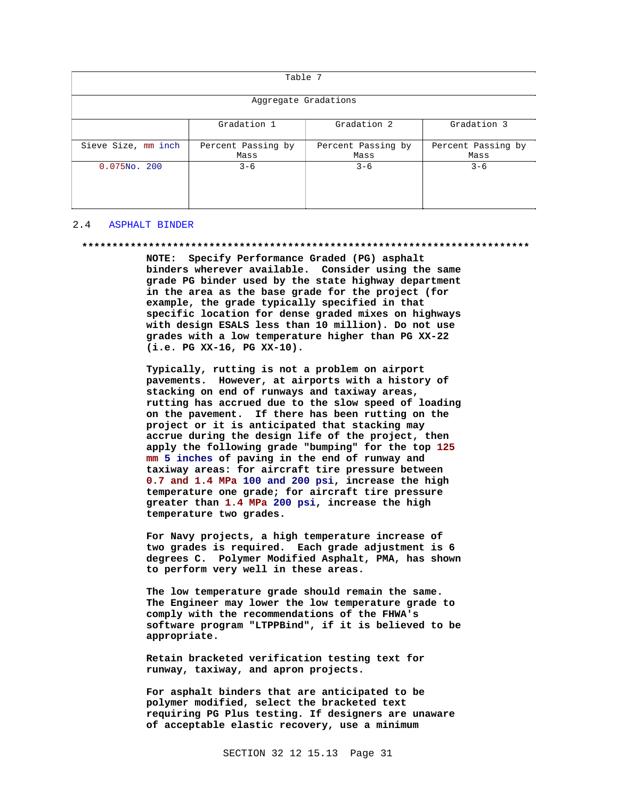| Table 7              |                                           |                            |                            |  |  |
|----------------------|-------------------------------------------|----------------------------|----------------------------|--|--|
| Aggregate Gradations |                                           |                            |                            |  |  |
|                      | Gradation 2<br>Gradation 3<br>Gradation 1 |                            |                            |  |  |
| Sieve Size, mm inch  | Percent Passing by<br>Mass                | Percent Passing by<br>Mass | Percent Passing by<br>Mass |  |  |
| $0.075NO$ . 200      | $3 - 6$                                   | $3 - 6$                    | $3 - 6$                    |  |  |

### 2.4 ASPHALT BINDER

#### **\*\*\*\*\*\*\*\*\*\*\*\*\*\*\*\*\*\*\*\*\*\*\*\*\*\*\*\*\*\*\*\*\*\*\*\*\*\*\*\*\*\*\*\*\*\*\*\*\*\*\*\*\*\*\*\*\*\*\*\*\*\*\*\*\*\*\*\*\*\*\*\*\*\***

**NOTE: Specify Performance Graded (PG) asphalt binders wherever available. Consider using the same grade PG binder used by the state highway department in the area as the base grade for the project (for example, the grade typically specified in that specific location for dense graded mixes on highways with design ESALS less than 10 million). Do not use grades with a low temperature higher than PG XX-22 (i.e. PG XX-16, PG XX-10).**

**Typically, rutting is not a problem on airport pavements. However, at airports with a history of stacking on end of runways and taxiway areas, rutting has accrued due to the slow speed of loading on the pavement. If there has been rutting on the project or it is anticipated that stacking may accrue during the design life of the project, then apply the following grade "bumping" for the top 125 mm 5 inches of paving in the end of runway and taxiway areas: for aircraft tire pressure between 0.7 and 1.4 MPa 100 and 200 psi, increase the high temperature one grade; for aircraft tire pressure greater than 1.4 MPa 200 psi, increase the high temperature two grades.**

**For Navy projects, a high temperature increase of two grades is required. Each grade adjustment is 6 degrees C. Polymer Modified Asphalt, PMA, has shown to perform very well in these areas.**

**The low temperature grade should remain the same. The Engineer may lower the low temperature grade to comply with the recommendations of the FHWA's software program "LTPPBind", if it is believed to be appropriate.**

**Retain bracketed verification testing text for runway, taxiway, and apron projects.**

**For asphalt binders that are anticipated to be polymer modified, select the bracketed text requiring PG Plus testing. If designers are unaware of acceptable elastic recovery, use a minimum**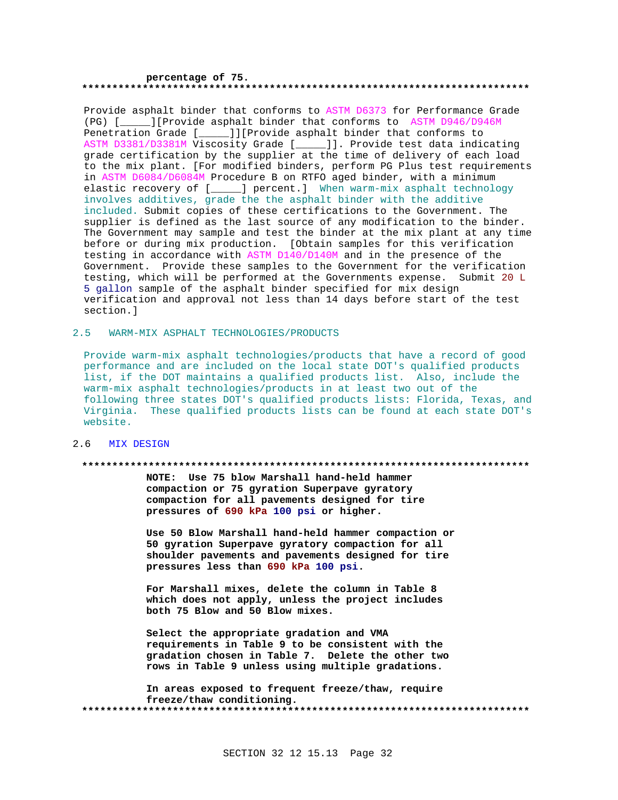#### **percentage of 75. \*\*\*\*\*\*\*\*\*\*\*\*\*\*\*\*\*\*\*\*\*\*\*\*\*\*\*\*\*\*\*\*\*\*\*\*\*\*\*\*\*\*\*\*\*\*\*\*\*\*\*\*\*\*\*\*\*\*\*\*\*\*\*\*\*\*\*\*\*\*\*\*\*\***

Provide asphalt binder that conforms to ASTM D6373 for Performance Grade (PG) [\_\_\_\_\_][Provide asphalt binder that conforms to ASTM D946/D946M Penetration Grade [\_\_\_\_\_]][Provide asphalt binder that conforms to ASTM D3381/D3381M Viscosity Grade [\_\_\_\_\_]]. Provide test data indicating grade certification by the supplier at the time of delivery of each load to the mix plant. [For modified binders, perform PG Plus test requirements in ASTM D6084/D6084M Procedure B on RTFO aged binder, with a minimum elastic recovery of [\_\_\_\_\_] percent.] When warm-mix asphalt technology involves additives, grade the the asphalt binder with the additive included. Submit copies of these certifications to the Government. The supplier is defined as the last source of any modification to the binder. The Government may sample and test the binder at the mix plant at any time before or during mix production. [Obtain samples for this verification testing in accordance with ASTM D140/D140M and in the presence of the Government. Provide these samples to the Government for the verification testing, which will be performed at the Governments expense. Submit 20 L 5 gallon sample of the asphalt binder specified for mix design verification and approval not less than 14 days before start of the test section.]

## 2.5 WARM-MIX ASPHALT TECHNOLOGIES/PRODUCTS

Provide warm-mix asphalt technologies/products that have a record of good performance and are included on the local state DOT's qualified products list, if the DOT maintains a qualified products list. Also, include the warm-mix asphalt technologies/products in at least two out of the following three states DOT's qualified products lists: Florida, Texas, and Virginia. These qualified products lists can be found at each state DOT's website.

## 2.6 MIX DESIGN

#### **\*\*\*\*\*\*\*\*\*\*\*\*\*\*\*\*\*\*\*\*\*\*\*\*\*\*\*\*\*\*\*\*\*\*\*\*\*\*\*\*\*\*\*\*\*\*\*\*\*\*\*\*\*\*\*\*\*\*\*\*\*\*\*\*\*\*\*\*\*\*\*\*\*\***

**NOTE: Use 75 blow Marshall hand-held hammer compaction or 75 gyration Superpave gyratory compaction for all pavements designed for tire pressures of 690 kPa 100 psi or higher.**

**Use 50 Blow Marshall hand-held hammer compaction or 50 gyration Superpave gyratory compaction for all shoulder pavements and pavements designed for tire pressures less than 690 kPa 100 psi.**

**For Marshall mixes, delete the column in Table 8 which does not apply, unless the project includes both 75 Blow and 50 Blow mixes.**

**Select the appropriate gradation and VMA requirements in Table 9 to be consistent with the gradation chosen in Table 7. Delete the other two rows in Table 9 unless using multiple gradations.**

**In areas exposed to frequent freeze/thaw, require freeze/thaw conditioning. \*\*\*\*\*\*\*\*\*\*\*\*\*\*\*\*\*\*\*\*\*\*\*\*\*\*\*\*\*\*\*\*\*\*\*\*\*\*\*\*\*\*\*\*\*\*\*\*\*\*\*\*\*\*\*\*\*\*\*\*\*\*\*\*\*\*\*\*\*\*\*\*\*\***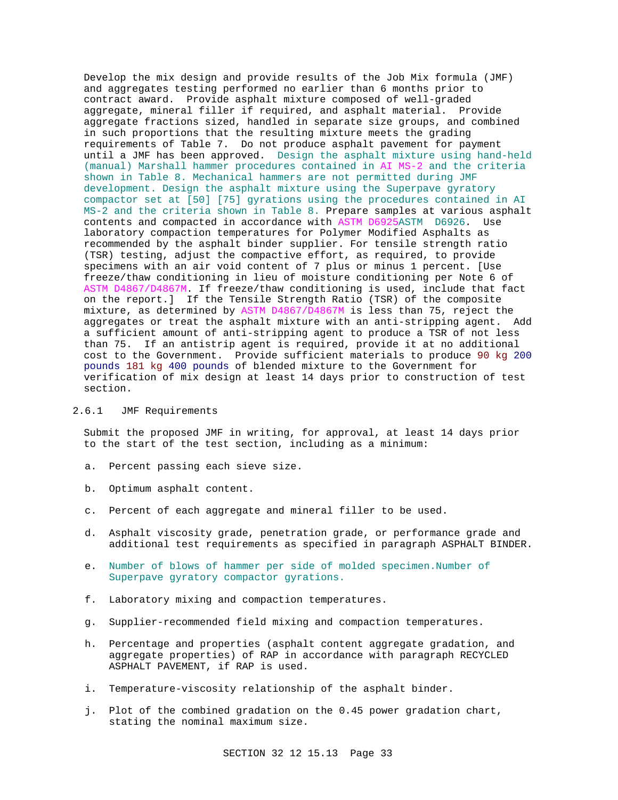Develop the mix design and provide results of the Job Mix formula (JMF) and aggregates testing performed no earlier than 6 months prior to contract award. Provide asphalt mixture composed of well-graded aggregate, mineral filler if required, and asphalt material. Provide aggregate fractions sized, handled in separate size groups, and combined in such proportions that the resulting mixture meets the grading requirements of Table 7. Do not produce asphalt pavement for payment until a JMF has been approved. Design the asphalt mixture using hand-held (manual) Marshall hammer procedures contained in AI MS-2 and the criteria shown in Table 8. Mechanical hammers are not permitted during JMF development. Design the asphalt mixture using the Superpave gyratory compactor set at [50] [75] gyrations using the procedures contained in AI MS-2 and the criteria shown in Table 8. Prepare samples at various asphalt contents and compacted in accordance with ASTM D6925ASTM D6926. Use laboratory compaction temperatures for Polymer Modified Asphalts as recommended by the asphalt binder supplier. For tensile strength ratio (TSR) testing, adjust the compactive effort, as required, to provide specimens with an air void content of 7 plus or minus 1 percent. [Use freeze/thaw conditioning in lieu of moisture conditioning per Note 6 of ASTM D4867/D4867M. If freeze/thaw conditioning is used, include that fact on the report.] If the Tensile Strength Ratio (TSR) of the composite mixture, as determined by ASTM D4867/D4867M is less than 75, reject the aggregates or treat the asphalt mixture with an anti-stripping agent. Add a sufficient amount of anti-stripping agent to produce a TSR of not less than 75. If an antistrip agent is required, provide it at no additional cost to the Government. Provide sufficient materials to produce 90 kg 200 pounds 181 kg 400 pounds of blended mixture to the Government for verification of mix design at least 14 days prior to construction of test section.

# 2.6.1 JMF Requirements

Submit the proposed JMF in writing, for approval, at least 14 days prior to the start of the test section, including as a minimum:

- a. Percent passing each sieve size.
- b. Optimum asphalt content.
- c. Percent of each aggregate and mineral filler to be used.
- d. Asphalt viscosity grade, penetration grade, or performance grade and additional test requirements as specified in paragraph ASPHALT BINDER.
- e. Number of blows of hammer per side of molded specimen.Number of Superpave gyratory compactor gyrations.
- f. Laboratory mixing and compaction temperatures.
- g. Supplier-recommended field mixing and compaction temperatures.
- h. Percentage and properties (asphalt content aggregate gradation, and aggregate properties) of RAP in accordance with paragraph RECYCLED ASPHALT PAVEMENT, if RAP is used.
- i. Temperature-viscosity relationship of the asphalt binder.
- j. Plot of the combined gradation on the 0.45 power gradation chart, stating the nominal maximum size.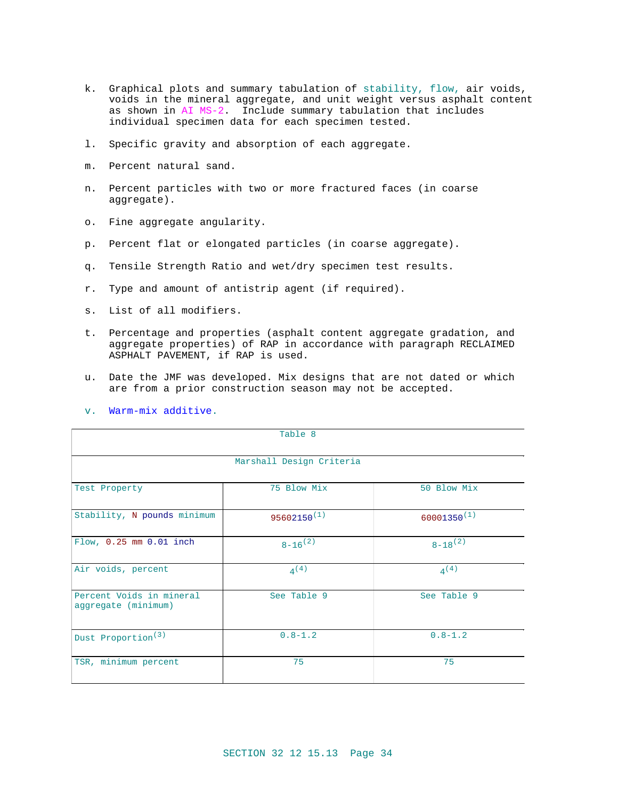- k. Graphical plots and summary tabulation of stability, flow, air voids, voids in the mineral aggregate, and unit weight versus asphalt content as shown in AI MS-2. Include summary tabulation that includes individual specimen data for each specimen tested.
- l. Specific gravity and absorption of each aggregate.
- m. Percent natural sand.
- n. Percent particles with two or more fractured faces (in coarse aggregate).
- o. Fine aggregate angularity.
- p. Percent flat or elongated particles (in coarse aggregate).
- q. Tensile Strength Ratio and wet/dry specimen test results.
- r. Type and amount of antistrip agent (if required).
- s. List of all modifiers.
- t. Percentage and properties (asphalt content aggregate gradation, and aggregate properties) of RAP in accordance with paragraph RECLAIMED ASPHALT PAVEMENT, if RAP is used.
- u. Date the JMF was developed. Mix designs that are not dated or which are from a prior construction season may not be accepted.

| Table 8                                         |                  |                  |  |  |
|-------------------------------------------------|------------------|------------------|--|--|
| Marshall Design Criteria                        |                  |                  |  |  |
| Test Property                                   | 75 Blow Mix      | 50 Blow Mix      |  |  |
| Stability, N pounds minimum                     | $95602150^{(1)}$ | $60001350^{(1)}$ |  |  |
| Flow, 0.25 mm 0.01 inch                         | $8-16^{(2)}$     | $8-18^{(2)}$     |  |  |
| Air voids, percent                              | $4^{(4)}$        | 4(4)             |  |  |
| Percent Voids in mineral<br>aggregate (minimum) | See Table 9      | See Table 9      |  |  |
| Dust Proportion <sup>(3)</sup>                  | $0.8 - 1.2$      | $0.8 - 1.2$      |  |  |
| TSR, minimum percent                            | 75               | 75               |  |  |

v. Warm-mix additive.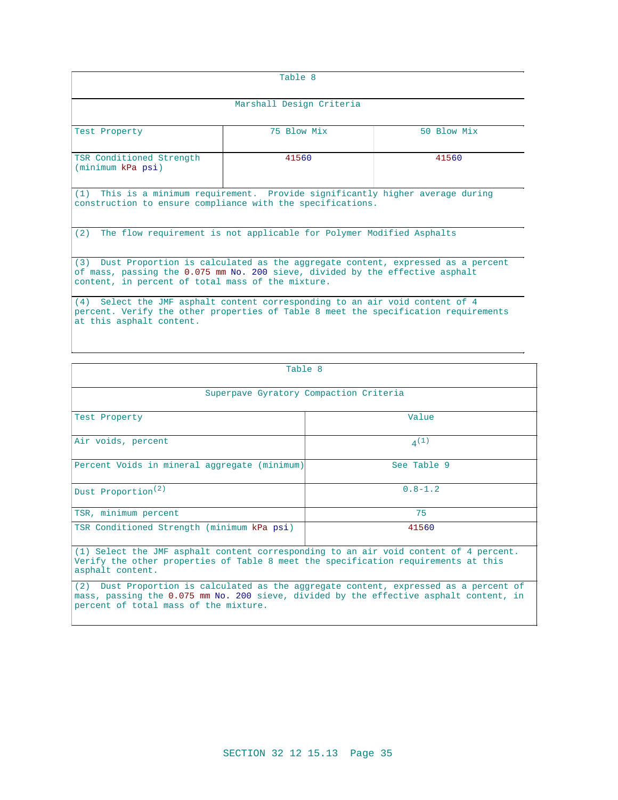| Table 8                                                                                                                                                                                                                  |             |             |  |  |
|--------------------------------------------------------------------------------------------------------------------------------------------------------------------------------------------------------------------------|-------------|-------------|--|--|
| Marshall Design Criteria                                                                                                                                                                                                 |             |             |  |  |
| Test Property                                                                                                                                                                                                            | 75 Blow Mix | 50 Blow Mix |  |  |
| TSR Conditioned Strength<br>(minimum kPa psi)                                                                                                                                                                            | 41560       | 41560       |  |  |
| (1) This is a minimum requirement. Provide significantly higher average during<br>construction to ensure compliance with the specifications.                                                                             |             |             |  |  |
| The flow requirement is not applicable for Polymer Modified Asphalts<br>(2)                                                                                                                                              |             |             |  |  |
| (3) Dust Proportion is calculated as the aggregate content, expressed as a percent<br>of mass, passing the 0.075 mm No. 200 sieve, divided by the effective asphalt<br>content, in percent of total mass of the mixture. |             |             |  |  |
| (4) Select the JMF asphalt content corresponding to an air void content of 4<br>percent. Verify the other properties of Table 8 meet the specification requirements<br>at this asphalt content.                          |             |             |  |  |

| Table 8                                                                                                                                                                                                                  |               |  |
|--------------------------------------------------------------------------------------------------------------------------------------------------------------------------------------------------------------------------|---------------|--|
| Superpave Gyratory Compaction Criteria                                                                                                                                                                                   |               |  |
| Test Property                                                                                                                                                                                                            | Value         |  |
| Air voids, percent                                                                                                                                                                                                       | 4(1)          |  |
| Percent Voids in mineral aggregate (minimum)                                                                                                                                                                             | $See$ Table 9 |  |
| Dust Proportion <sup>(2)</sup>                                                                                                                                                                                           | $0.8 - 1.2$   |  |
| TSR, minimum percent                                                                                                                                                                                                     | 75            |  |
| TSR Conditioned Strength (minimum kPa psi)                                                                                                                                                                               | 41560         |  |
| (1) Select the JMF asphalt content corresponding to an air void content of 4 percent.<br>Verify the other properties of Table 8 meet the specification requirements at this<br>asphalt content.                          |               |  |
| (2) Dust Proportion is calculated as the aggregate content, expressed as a percent of<br>mass, passing the 0.075 mm No. 200 sieve, divided by the effective asphalt content, in<br>percent of total mass of the mixture. |               |  |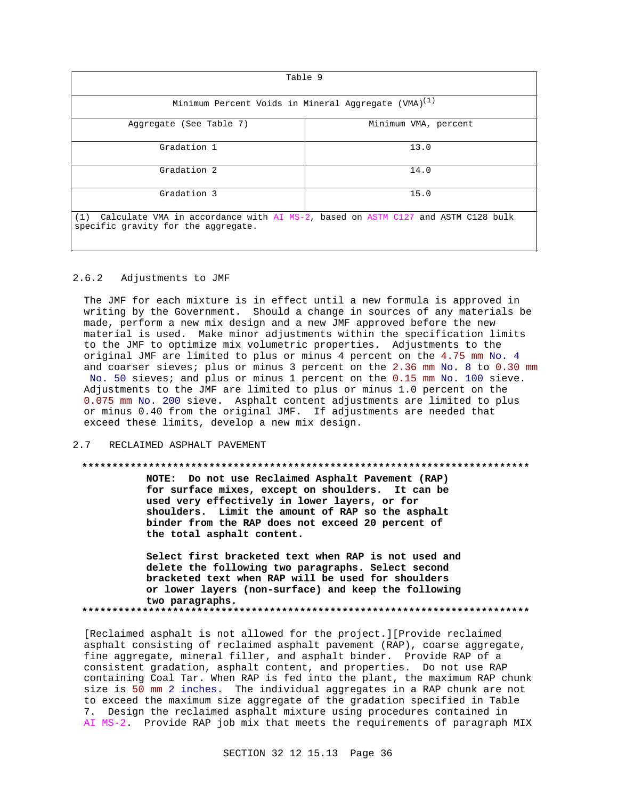| Table 9                                                                                                                       |                      |  |
|-------------------------------------------------------------------------------------------------------------------------------|----------------------|--|
| Minimum Percent Voids in Mineral Aggregate (VMA) <sup>(1)</sup>                                                               |                      |  |
| Aggregate (See Table 7)                                                                                                       | Minimum VMA, percent |  |
| Gradation 1                                                                                                                   | 13.0                 |  |
| Gradation 2                                                                                                                   | 14.0                 |  |
| Gradation 3                                                                                                                   | 15.0                 |  |
| Calculate VMA in accordance with AI MS-2, based on ASTM C127 and ASTM C128 bulk<br>(1)<br>specific gravity for the aggregate. |                      |  |

### 2.6.2 Adjustments to JMF

The JMF for each mixture is in effect until a new formula is approved in writing by the Government. Should a change in sources of any materials be made, perform a new mix design and a new JMF approved before the new material is used. Make minor adjustments within the specification limits to the JMF to optimize mix volumetric properties. Adjustments to the original JMF are limited to plus or minus 4 percent on the 4.75 mm No. 4 and coarser sieves; plus or minus 3 percent on the 2.36 mm No. 8 to 0.30 mm No. 50 sieves; and plus or minus 1 percent on the 0.15 mm No. 100 sieve. Adjustments to the JMF are limited to plus or minus 1.0 percent on the 0.075 mm No. 200 sieve. Asphalt content adjustments are limited to plus or minus 0.40 from the original JMF. If adjustments are needed that exceed these limits, develop a new mix design.

## 2.7 RECLAIMED ASPHALT PAVEMENT

#### **\*\*\*\*\*\*\*\*\*\*\*\*\*\*\*\*\*\*\*\*\*\*\*\*\*\*\*\*\*\*\*\*\*\*\*\*\*\*\*\*\*\*\*\*\*\*\*\*\*\*\*\*\*\*\*\*\*\*\*\*\*\*\*\*\*\*\*\*\*\*\*\*\*\***

**NOTE: Do not use Reclaimed Asphalt Pavement (RAP) for surface mixes, except on shoulders. It can be used very effectively in lower layers, or for shoulders. Limit the amount of RAP so the asphalt binder from the RAP does not exceed 20 percent of the total asphalt content.**

**Select first bracketed text when RAP is not used and delete the following two paragraphs. Select second bracketed text when RAP will be used for shoulders or lower layers (non-surface) and keep the following two paragraphs. \*\*\*\*\*\*\*\*\*\*\*\*\*\*\*\*\*\*\*\*\*\*\*\*\*\*\*\*\*\*\*\*\*\*\*\*\*\*\*\*\*\*\*\*\*\*\*\*\*\*\*\*\*\*\*\*\*\*\*\*\*\*\*\*\*\*\*\*\*\*\*\*\*\***

[Reclaimed asphalt is not allowed for the project.][Provide reclaimed asphalt consisting of reclaimed asphalt pavement (RAP), coarse aggregate, fine aggregate, mineral filler, and asphalt binder. Provide RAP of a consistent gradation, asphalt content, and properties. Do not use RAP containing Coal Tar. When RAP is fed into the plant, the maximum RAP chunk size is 50 mm 2 inches. The individual aggregates in a RAP chunk are not to exceed the maximum size aggregate of the gradation specified in Table 7. Design the reclaimed asphalt mixture using procedures contained in AI MS-2. Provide RAP job mix that meets the requirements of paragraph MIX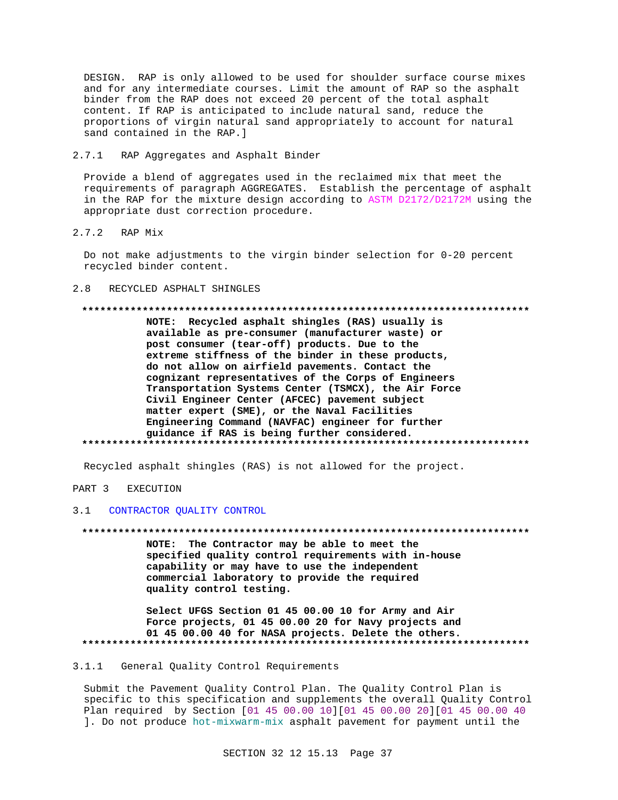DESIGN. RAP is only allowed to be used for shoulder surface course mixes and for any intermediate courses. Limit the amount of RAP so the asphalt binder from the RAP does not exceed 20 percent of the total asphalt content. If RAP is anticipated to include natural sand, reduce the proportions of virgin natural sand appropriately to account for natural sand contained in the RAP.]

 $2.7.1$ RAP Aggregates and Asphalt Binder

Provide a blend of aggregates used in the reclaimed mix that meet the requirements of paragraph AGGREGATES. Establish the percentage of asphalt in the RAP for the mixture design according to ASTM D2172/D2172M using the appropriate dust correction procedure.

 $2.7.2$ RAP Mix

Do not make adjustments to the virgin binder selection for 0-20 percent recycled binder content.

#### $2.8$ RECYCLED ASPHALT SHINGLES

### 

NOTE: Recycled asphalt shingles (RAS) usually is available as pre-consumer (manufacturer waste) or post consumer (tear-off) products. Due to the extreme stiffness of the binder in these products, do not allow on airfield pavements. Contact the cognizant representatives of the Corps of Engineers Transportation Systems Center (TSMCX), the Air Force Civil Engineer Center (AFCEC) pavement subject matter expert (SME), or the Naval Facilities Engineering Command (NAVFAC) engineer for further guidance if RAS is being further considered. 

Recycled asphalt shingles (RAS) is not allowed for the project.

#### PART 3 **EXECUTION**

#### $3<sup>1</sup>$ CONTRACTOR QUALITY CONTROL

NOTE: The Contractor may be able to meet the specified quality control requirements with in-house capability or may have to use the independent commercial laboratory to provide the required quality control testing.

Select UFGS Section 01 45 00.00 10 for Army and Air Force projects, 01 45 00.00 20 for Navy projects and 01 45 00.00 40 for NASA projects. Delete the others. 

#### General Quality Control Requirements  $3.1.1$

Submit the Pavement Quality Control Plan. The Quality Control Plan is specific to this specification and supplements the overall Quality Control Plan required by Section [01 45 00.00 10][01 45 00.00 20][01 45 00.00 40 ]. Do not produce hot-mixwarm-mix asphalt pavement for payment until the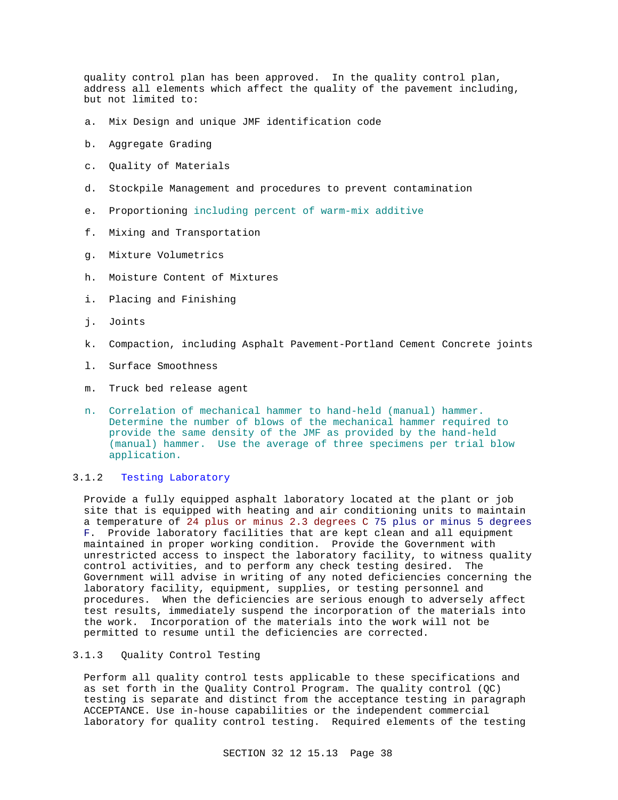quality control plan has been approved. In the quality control plan, address all elements which affect the quality of the pavement including, but not limited to:

- a. Mix Design and unique JMF identification code
- b. Aggregate Grading
- c. Quality of Materials
- d. Stockpile Management and procedures to prevent contamination
- e. Proportioning including percent of warm-mix additive
- f. Mixing and Transportation
- g. Mixture Volumetrics
- h. Moisture Content of Mixtures
- i. Placing and Finishing
- j. Joints
- k. Compaction, including Asphalt Pavement-Portland Cement Concrete joints
- l. Surface Smoothness
- m. Truck bed release agent
- n. Correlation of mechanical hammer to hand-held (manual) hammer. Determine the number of blows of the mechanical hammer required to provide the same density of the JMF as provided by the hand-held (manual) hammer. Use the average of three specimens per trial blow application.

## 3.1.2 Testing Laboratory

Provide a fully equipped asphalt laboratory located at the plant or job site that is equipped with heating and air conditioning units to maintain a temperature of 24 plus or minus 2.3 degrees C 75 plus or minus 5 degrees F. Provide laboratory facilities that are kept clean and all equipment maintained in proper working condition. Provide the Government with unrestricted access to inspect the laboratory facility, to witness quality control activities, and to perform any check testing desired. The Government will advise in writing of any noted deficiencies concerning the laboratory facility, equipment, supplies, or testing personnel and procedures. When the deficiencies are serious enough to adversely affect test results, immediately suspend the incorporation of the materials into the work. Incorporation of the materials into the work will not be permitted to resume until the deficiencies are corrected.

## 3.1.3 Quality Control Testing

Perform all quality control tests applicable to these specifications and as set forth in the Quality Control Program. The quality control (QC) testing is separate and distinct from the acceptance testing in paragraph ACCEPTANCE. Use in-house capabilities or the independent commercial laboratory for quality control testing. Required elements of the testing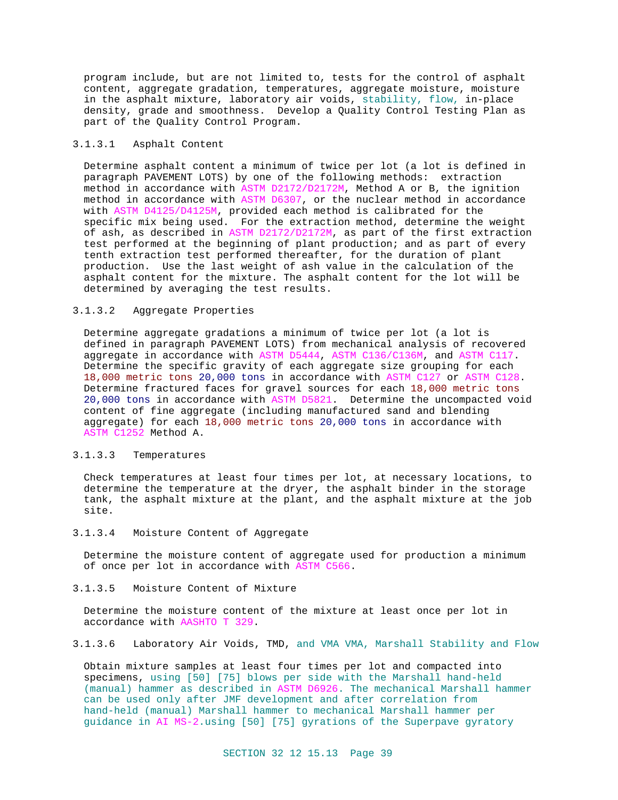program include, but are not limited to, tests for the control of asphalt content, aggregate gradation, temperatures, aggregate moisture, moisture in the asphalt mixture, laboratory air voids, stability, flow, in-place density, grade and smoothness. Develop a Quality Control Testing Plan as part of the Quality Control Program.

## 3.1.3.1 Asphalt Content

Determine asphalt content a minimum of twice per lot (a lot is defined in paragraph PAVEMENT LOTS) by one of the following methods: extraction method in accordance with ASTM D2172/D2172M, Method A or B, the ignition method in accordance with ASTM D6307, or the nuclear method in accordance with ASTM D4125/D4125M, provided each method is calibrated for the specific mix being used. For the extraction method, determine the weight of ash, as described in ASTM D2172/D2172M, as part of the first extraction test performed at the beginning of plant production; and as part of every tenth extraction test performed thereafter, for the duration of plant production. Use the last weight of ash value in the calculation of the asphalt content for the mixture. The asphalt content for the lot will be determined by averaging the test results.

### 3.1.3.2 Aggregate Properties

Determine aggregate gradations a minimum of twice per lot (a lot is defined in paragraph PAVEMENT LOTS) from mechanical analysis of recovered aggregate in accordance with ASTM D5444, ASTM C136/C136M, and ASTM C117. Determine the specific gravity of each aggregate size grouping for each 18,000 metric tons 20,000 tons in accordance with ASTM C127 or ASTM C128. Determine fractured faces for gravel sources for each 18,000 metric tons 20,000 tons in accordance with ASTM D5821. Determine the uncompacted void content of fine aggregate (including manufactured sand and blending aggregate) for each 18,000 metric tons 20,000 tons in accordance with ASTM C1252 Method A.

#### 3.1.3.3 Temperatures

Check temperatures at least four times per lot, at necessary locations, to determine the temperature at the dryer, the asphalt binder in the storage tank, the asphalt mixture at the plant, and the asphalt mixture at the job site.

# 3.1.3.4 Moisture Content of Aggregate

Determine the moisture content of aggregate used for production a minimum of once per lot in accordance with ASTM C566.

3.1.3.5 Moisture Content of Mixture

Determine the moisture content of the mixture at least once per lot in accordance with AASHTO T 329.

3.1.3.6 Laboratory Air Voids, TMD, and VMA VMA, Marshall Stability and Flow

Obtain mixture samples at least four times per lot and compacted into specimens, using [50] [75] blows per side with the Marshall hand-held (manual) hammer as described in ASTM D6926. The mechanical Marshall hammer can be used only after JMF development and after correlation from hand-held (manual) Marshall hammer to mechanical Marshall hammer per guidance in AI MS-2.using [50] [75] gyrations of the Superpave gyratory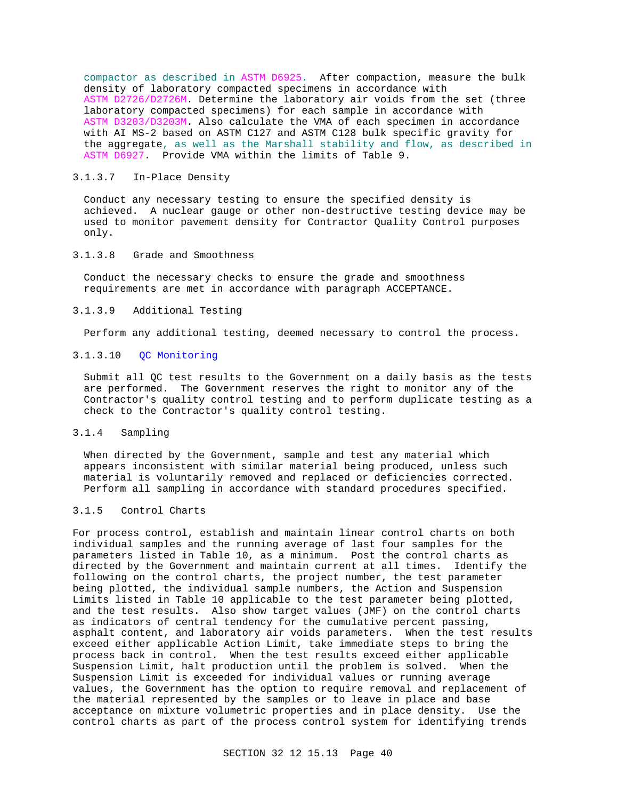compactor as described in ASTM D6925. After compaction, measure the bulk density of laboratory compacted specimens in accordance with ASTM D2726/D2726M. Determine the laboratory air voids from the set (three laboratory compacted specimens) for each sample in accordance with ASTM D3203/D3203M. Also calculate the VMA of each specimen in accordance with AI MS-2 based on ASTM C127 and ASTM C128 bulk specific gravity for the aggregate, as well as the Marshall stability and flow, as described in ASTM D6927. Provide VMA within the limits of Table 9.

# 3.1.3.7 In-Place Density

Conduct any necessary testing to ensure the specified density is achieved. A nuclear gauge or other non-destructive testing device may be used to monitor pavement density for Contractor Quality Control purposes only.

## 3.1.3.8 Grade and Smoothness

Conduct the necessary checks to ensure the grade and smoothness requirements are met in accordance with paragraph ACCEPTANCE.

### 3.1.3.9 Additional Testing

Perform any additional testing, deemed necessary to control the process.

## 3.1.3.10 QC Monitoring

Submit all QC test results to the Government on a daily basis as the tests are performed. The Government reserves the right to monitor any of the Contractor's quality control testing and to perform duplicate testing as a check to the Contractor's quality control testing.

# 3.1.4 Sampling

When directed by the Government, sample and test any material which appears inconsistent with similar material being produced, unless such material is voluntarily removed and replaced or deficiencies corrected. Perform all sampling in accordance with standard procedures specified.

# 3.1.5 Control Charts

For process control, establish and maintain linear control charts on both individual samples and the running average of last four samples for the parameters listed in Table 10, as a minimum. Post the control charts as directed by the Government and maintain current at all times. Identify the following on the control charts, the project number, the test parameter being plotted, the individual sample numbers, the Action and Suspension Limits listed in Table 10 applicable to the test parameter being plotted, and the test results. Also show target values (JMF) on the control charts as indicators of central tendency for the cumulative percent passing, asphalt content, and laboratory air voids parameters. When the test results exceed either applicable Action Limit, take immediate steps to bring the process back in control. When the test results exceed either applicable Suspension Limit, halt production until the problem is solved. When the Suspension Limit is exceeded for individual values or running average values, the Government has the option to require removal and replacement of the material represented by the samples or to leave in place and base acceptance on mixture volumetric properties and in place density. Use the control charts as part of the process control system for identifying trends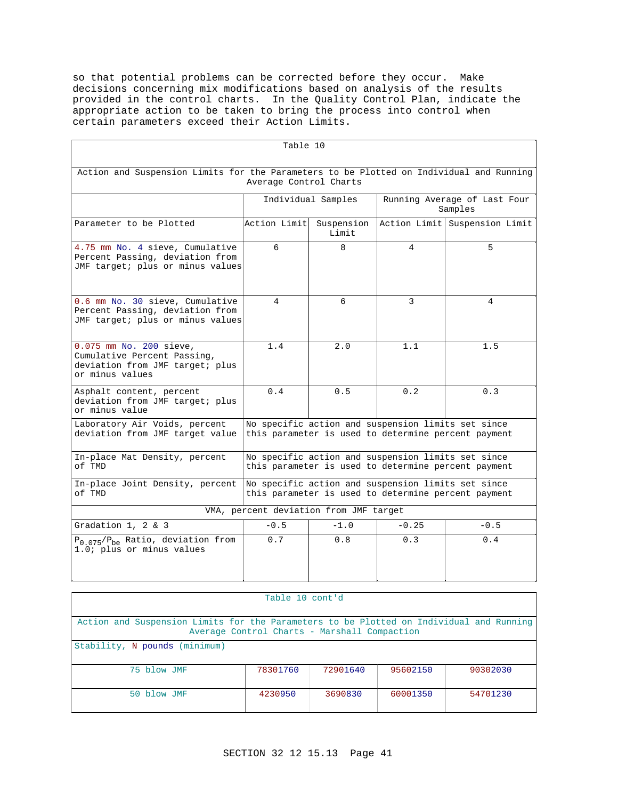so that potential problems can be corrected before they occur. Make decisions concerning mix modifications based on analysis of the results provided in the control charts. In the Quality Control Plan, indicate the appropriate action to be taken to bring the process into control when certain parameters exceed their Action Limits.

| Table 10                                                                                                                                             |                                                                                                           |                     |                                         |                               |
|------------------------------------------------------------------------------------------------------------------------------------------------------|-----------------------------------------------------------------------------------------------------------|---------------------|-----------------------------------------|-------------------------------|
| Action and Suspension Limits for the Parameters to be Plotted on Individual and Running<br>Average Control Charts                                    |                                                                                                           |                     |                                         |                               |
|                                                                                                                                                      |                                                                                                           | Individual Samples  | Running Average of Last Four<br>Samples |                               |
| Parameter to be Plotted                                                                                                                              | Action Limit                                                                                              | Suspension<br>Limit |                                         | Action Limit Suspension Limit |
| 4.75 mm No. 4 sieve, Cumulative<br>Percent Passing, deviation from<br>JMF target; plus or minus values                                               | 6                                                                                                         | 8                   | 4                                       | 5                             |
| 0.6 mm No. 30 sieve, Cumulative<br>Percent Passing, deviation from<br>JMF target; plus or minus values                                               | 4                                                                                                         | б.                  | 3                                       | 4                             |
| 0.075 mm No. 200 sieve,<br>Cumulative Percent Passing,<br>deviation from JMF target; plus<br>or minus values                                         | 1.4                                                                                                       | 2.0                 | 1.1                                     | 1.5                           |
| Asphalt content, percent<br>deviation from JMF target; plus<br>or minus value                                                                        | 0.4                                                                                                       | 0.5                 | 0.2                                     | 0.3                           |
| Laboratory Air Voids, percent<br>deviation from JMF target value                                                                                     | No specific action and suspension limits set since<br>this parameter is used to determine percent payment |                     |                                         |                               |
| No specific action and suspension limits set since<br>In-place Mat Density, percent<br>of TMD<br>this parameter is used to determine percent payment |                                                                                                           |                     |                                         |                               |
| In-place Joint Density, percent<br>of TMD                                                                                                            | No specific action and suspension limits set since<br>this parameter is used to determine percent payment |                     |                                         |                               |
| VMA, percent deviation from JMF target                                                                                                               |                                                                                                           |                     |                                         |                               |
| Gradation $1, 2 \& 3$                                                                                                                                | $-0.5$                                                                                                    | $-1.0$              | $-0.25$                                 | $-0.5$                        |
| $P_{0.075}/P_{be}$ Ratio, deviation from<br>1.0; plus or minus values                                                                                | 0.7                                                                                                       | 0.8                 | 0.3                                     | 0.4                           |

| Table 10 cont'd                                                                                                                         |          |          |          |          |
|-----------------------------------------------------------------------------------------------------------------------------------------|----------|----------|----------|----------|
| Action and Suspension Limits for the Parameters to be Plotted on Individual and Running<br>Average Control Charts - Marshall Compaction |          |          |          |          |
| Stability, N pounds (minimum)                                                                                                           |          |          |          |          |
| 75 blow JMF                                                                                                                             | 78301760 | 72901640 | 95602150 | 90302030 |
| 50 blow JMF                                                                                                                             | 4230950  | 3690830  | 60001350 | 54701230 |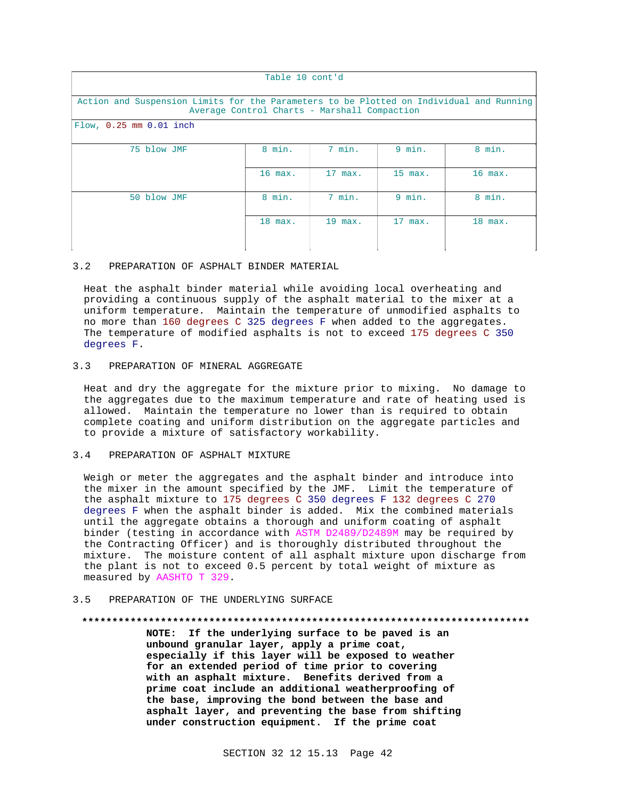| Table 10 cont'd                                                                                                                         |           |           |           |           |
|-----------------------------------------------------------------------------------------------------------------------------------------|-----------|-----------|-----------|-----------|
| Action and Suspension Limits for the Parameters to be Plotted on Individual and Running<br>Average Control Charts - Marshall Compaction |           |           |           |           |
| Flow, 0.25 mm 0.01 inch                                                                                                                 |           |           |           |           |
| 75 blow JMF                                                                                                                             | 8 min.    | 7 min.    | $9$ min.  | 8 min.    |
|                                                                                                                                         | 16 max.   | 17 max.   | 15 max.   | $16$ max. |
| 50 blow JMF                                                                                                                             | 8 min.    | 7 min.    | $9$ min.  | 8 min.    |
|                                                                                                                                         | $18$ max. | $19$ max. | $17$ max. | $18$ max. |

### 3.2 PREPARATION OF ASPHALT BINDER MATERIAL

Heat the asphalt binder material while avoiding local overheating and providing a continuous supply of the asphalt material to the mixer at a uniform temperature. Maintain the temperature of unmodified asphalts to no more than 160 degrees C 325 degrees F when added to the aggregates. The temperature of modified asphalts is not to exceed 175 degrees C 350 degrees F.

# 3.3 PREPARATION OF MINERAL AGGREGATE

Heat and dry the aggregate for the mixture prior to mixing. No damage to the aggregates due to the maximum temperature and rate of heating used is allowed. Maintain the temperature no lower than is required to obtain complete coating and uniform distribution on the aggregate particles and to provide a mixture of satisfactory workability.

### 3.4 PREPARATION OF ASPHALT MIXTURE

Weigh or meter the aggregates and the asphalt binder and introduce into the mixer in the amount specified by the JMF. Limit the temperature of the asphalt mixture to 175 degrees C 350 degrees F 132 degrees C 270 degrees F when the asphalt binder is added. Mix the combined materials until the aggregate obtains a thorough and uniform coating of asphalt binder (testing in accordance with ASTM D2489/D2489M may be required by the Contracting Officer) and is thoroughly distributed throughout the mixture. The moisture content of all asphalt mixture upon discharge from the plant is not to exceed 0.5 percent by total weight of mixture as measured by AASHTO T 329.

## 3.5 PREPARATION OF THE UNDERLYING SURFACE

### **\*\*\*\*\*\*\*\*\*\*\*\*\*\*\*\*\*\*\*\*\*\*\*\*\*\*\*\*\*\*\*\*\*\*\*\*\*\*\*\*\*\*\*\*\*\*\*\*\*\*\*\*\*\*\*\*\*\*\*\*\*\*\*\*\*\*\*\*\*\*\*\*\*\***

**NOTE: If the underlying surface to be paved is an unbound granular layer, apply a prime coat, especially if this layer will be exposed to weather for an extended period of time prior to covering with an asphalt mixture. Benefits derived from a prime coat include an additional weatherproofing of the base, improving the bond between the base and asphalt layer, and preventing the base from shifting under construction equipment. If the prime coat**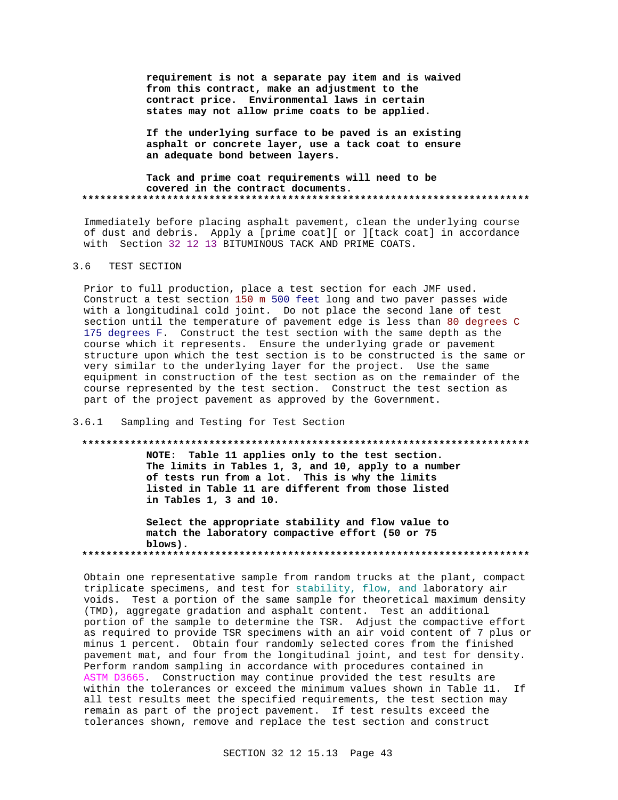requirement is not a separate pay item and is waived from this contract, make an adjustment to the contract price. Environmental laws in certain states may not allow prime coats to be applied.

If the underlying surface to be paved is an existing asphalt or concrete layer, use a tack coat to ensure an adequate bond between layers.

Tack and prime coat requirements will need to be covered in the contract documents. 

Immediately before placing asphalt pavement, clean the underlying course of dust and debris. Apply a [prime coat][ or ][tack coat] in accordance with Section 32 12 13 BITUMINOUS TACK AND PRIME COATS.

#### $3.6$ TEST SECTION

Prior to full production, place a test section for each JMF used. Construct a test section 150 m 500 feet long and two paver passes wide with a longitudinal cold joint. Do not place the second lane of test section until the temperature of pavement edge is less than 80 degrees C 175 degrees F. Construct the test section with the same depth as the course which it represents. Ensure the underlying grade or pavement structure upon which the test section is to be constructed is the same or very similar to the underlying layer for the project. Use the same equipment in construction of the test section as on the remainder of the course represented by the test section. Construct the test section as part of the project pavement as approved by the Government.

#### $3.6.1$ Sampling and Testing for Test Section

#### 

NOTE: Table 11 applies only to the test section. The limits in Tables 1, 3, and 10, apply to a number of tests run from a lot. This is why the limits listed in Table 11 are different from those listed in Tables 1, 3 and 10.

Select the appropriate stability and flow value to match the laboratory compactive effort (50 or 75 blows). 

Obtain one representative sample from random trucks at the plant, compact triplicate specimens, and test for stability, flow, and laboratory air voids. Test a portion of the same sample for theoretical maximum density (TMD), aggregate gradation and asphalt content. Test an additional portion of the sample to determine the TSR. Adjust the compactive effort as required to provide TSR specimens with an air void content of 7 plus or minus 1 percent. Obtain four randomly selected cores from the finished pavement mat, and four from the longitudinal joint, and test for density. Perform random sampling in accordance with procedures contained in ASTM D3665. Construction may continue provided the test results are within the tolerances or exceed the minimum values shown in Table 11. If all test results meet the specified requirements, the test section may remain as part of the project pavement. If test results exceed the tolerances shown, remove and replace the test section and construct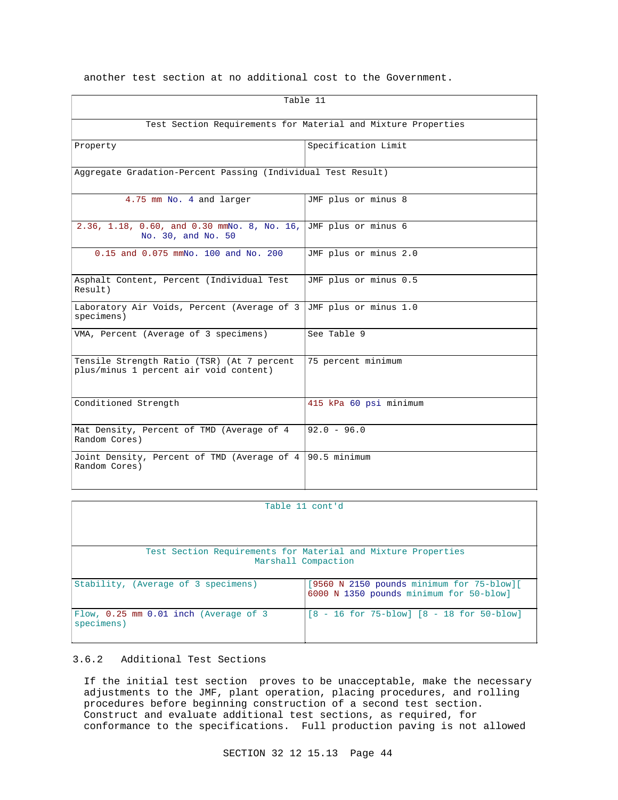another test section at no additional cost to the Government.

| Table 11                                                                              |                        |  |
|---------------------------------------------------------------------------------------|------------------------|--|
| Test Section Requirements for Material and Mixture Properties                         |                        |  |
| Property                                                                              | Specification Limit    |  |
| Aggregate Gradation-Percent Passing (Individual Test Result)                          |                        |  |
| 4.75 mm No. 4 and larger                                                              | JMF plus or minus 8    |  |
| 2.36, 1.18, 0.60, and 0.30 mmNo. 8, No. 16, JMF plus or minus 6<br>No. 30, and No. 50 |                        |  |
| 0.15 and 0.075 mmNo. 100 and No. 200                                                  | JMF plus or minus 2.0  |  |
| Asphalt Content, Percent (Individual Test<br>Result)                                  | JMF plus or minus 0.5  |  |
| Laboratory Air Voids, Percent (Average of 3<br>specimens)                             | JMF plus or minus 1.0  |  |
| VMA, Percent (Average of 3 specimens)                                                 | See Table 9            |  |
| Tensile Strength Ratio (TSR) (At 7 percent<br>plus/minus 1 percent air void content)  | 75 percent minimum     |  |
| Conditioned Strength                                                                  | 415 kPa 60 psi minimum |  |
| Mat Density, Percent of TMD (Average of 4<br>Random Cores)                            | $92.0 - 96.0$          |  |
| Joint Density, Percent of TMD (Average of 4 90.5 minimum<br>Random Cores)             |                        |  |

| Table 11 cont'd                                                                      |                                                                                             |
|--------------------------------------------------------------------------------------|---------------------------------------------------------------------------------------------|
|                                                                                      |                                                                                             |
| Test Section Requirements for Material and Mixture Properties<br>Marshall Compaction |                                                                                             |
| Stability, (Average of 3 specimens)                                                  | $[9560 \t N 2150 \t pounds minimum for 75-blow]$<br>6000 N 1350 pounds minimum for 50-blow] |
| Flow, 0.25 mm 0.01 inch (Average of 3<br>specimens)                                  | $[8 - 16$ for $75 - blow]$ $[8 - 18$ for $50 - blow]$                                       |

# 3.6.2 Additional Test Sections

If the initial test section proves to be unacceptable, make the necessary adjustments to the JMF, plant operation, placing procedures, and rolling procedures before beginning construction of a second test section. Construct and evaluate additional test sections, as required, for conformance to the specifications. Full production paving is not allowed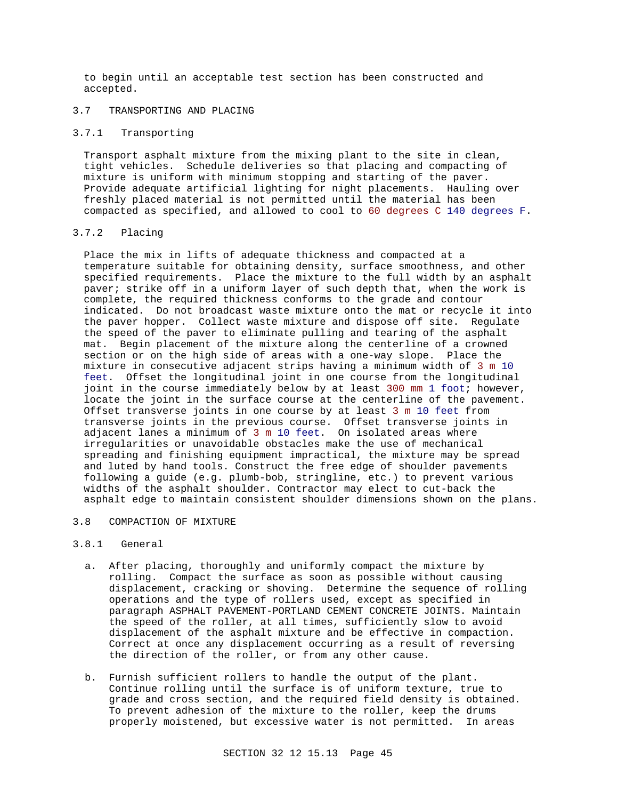to begin until an acceptable test section has been constructed and accepted.

# 3.7 TRANSPORTING AND PLACING

## 3.7.1 Transporting

Transport asphalt mixture from the mixing plant to the site in clean, tight vehicles. Schedule deliveries so that placing and compacting of mixture is uniform with minimum stopping and starting of the paver. Provide adequate artificial lighting for night placements. Hauling over freshly placed material is not permitted until the material has been compacted as specified, and allowed to cool to 60 degrees C 140 degrees F.

## 3.7.2 Placing

Place the mix in lifts of adequate thickness and compacted at a temperature suitable for obtaining density, surface smoothness, and other specified requirements. Place the mixture to the full width by an asphalt paver; strike off in a uniform layer of such depth that, when the work is complete, the required thickness conforms to the grade and contour indicated. Do not broadcast waste mixture onto the mat or recycle it into the paver hopper. Collect waste mixture and dispose off site. Regulate the speed of the paver to eliminate pulling and tearing of the asphalt mat. Begin placement of the mixture along the centerline of a crowned section or on the high side of areas with a one-way slope. Place the mixture in consecutive adjacent strips having a minimum width of 3 m 10 feet. Offset the longitudinal joint in one course from the longitudinal joint in the course immediately below by at least 300 mm 1 foot; however, locate the joint in the surface course at the centerline of the pavement. Offset transverse joints in one course by at least 3 m 10 feet from transverse joints in the previous course. Offset transverse joints in adjacent lanes a minimum of 3 m 10 feet. On isolated areas where irregularities or unavoidable obstacles make the use of mechanical spreading and finishing equipment impractical, the mixture may be spread and luted by hand tools. Construct the free edge of shoulder pavements following a guide (e.g. plumb-bob, stringline, etc.) to prevent various widths of the asphalt shoulder. Contractor may elect to cut-back the asphalt edge to maintain consistent shoulder dimensions shown on the plans.

# 3.8 COMPACTION OF MIXTURE

## 3.8.1 General

- a. After placing, thoroughly and uniformly compact the mixture by rolling. Compact the surface as soon as possible without causing displacement, cracking or shoving. Determine the sequence of rolling operations and the type of rollers used, except as specified in paragraph ASPHALT PAVEMENT-PORTLAND CEMENT CONCRETE JOINTS. Maintain the speed of the roller, at all times, sufficiently slow to avoid displacement of the asphalt mixture and be effective in compaction. Correct at once any displacement occurring as a result of reversing the direction of the roller, or from any other cause.
- b. Furnish sufficient rollers to handle the output of the plant. Continue rolling until the surface is of uniform texture, true to grade and cross section, and the required field density is obtained. To prevent adhesion of the mixture to the roller, keep the drums properly moistened, but excessive water is not permitted. In areas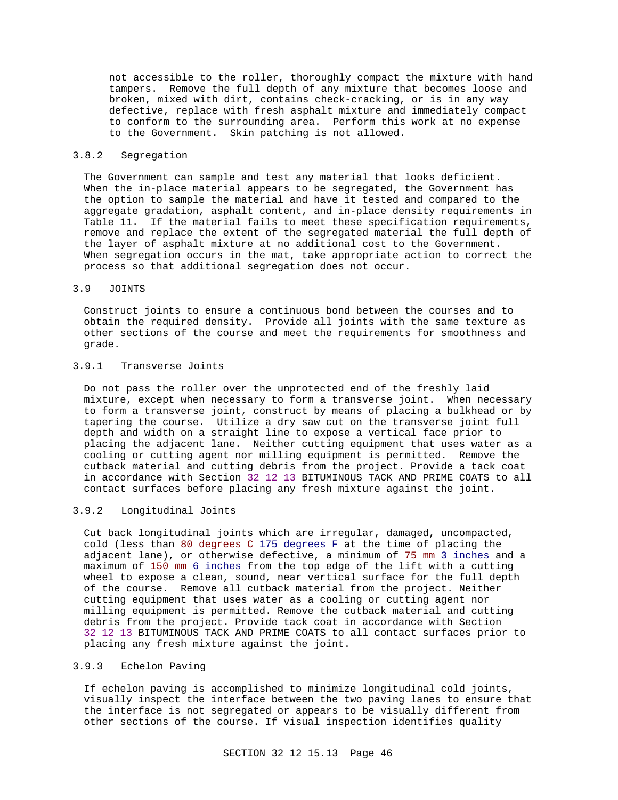not accessible to the roller, thoroughly compact the mixture with hand tampers. Remove the full depth of any mixture that becomes loose and broken, mixed with dirt, contains check-cracking, or is in any way defective, replace with fresh asphalt mixture and immediately compact to conform to the surrounding area. Perform this work at no expense to the Government. Skin patching is not allowed.

## 3.8.2 Segregation

The Government can sample and test any material that looks deficient. When the in-place material appears to be segregated, the Government has the option to sample the material and have it tested and compared to the aggregate gradation, asphalt content, and in-place density requirements in Table 11. If the material fails to meet these specification requirements, remove and replace the extent of the segregated material the full depth of the layer of asphalt mixture at no additional cost to the Government. When segregation occurs in the mat, take appropriate action to correct the process so that additional segregation does not occur.

### 3.9 JOINTS

Construct joints to ensure a continuous bond between the courses and to obtain the required density. Provide all joints with the same texture as other sections of the course and meet the requirements for smoothness and grade.

# 3.9.1 Transverse Joints

Do not pass the roller over the unprotected end of the freshly laid mixture, except when necessary to form a transverse joint. When necessary to form a transverse joint, construct by means of placing a bulkhead or by tapering the course. Utilize a dry saw cut on the transverse joint full depth and width on a straight line to expose a vertical face prior to placing the adjacent lane. Neither cutting equipment that uses water as a cooling or cutting agent nor milling equipment is permitted. Remove the cutback material and cutting debris from the project. Provide a tack coat in accordance with Section 32 12 13 BITUMINOUS TACK AND PRIME COATS to all contact surfaces before placing any fresh mixture against the joint.

## 3.9.2 Longitudinal Joints

Cut back longitudinal joints which are irregular, damaged, uncompacted, cold (less than 80 degrees C 175 degrees F at the time of placing the adjacent lane), or otherwise defective, a minimum of 75 mm 3 inches and a maximum of 150 mm 6 inches from the top edge of the lift with a cutting wheel to expose a clean, sound, near vertical surface for the full depth of the course. Remove all cutback material from the project. Neither cutting equipment that uses water as a cooling or cutting agent nor milling equipment is permitted. Remove the cutback material and cutting debris from the project. Provide tack coat in accordance with Section 32 12 13 BITUMINOUS TACK AND PRIME COATS to all contact surfaces prior to placing any fresh mixture against the joint.

## 3.9.3 Echelon Paving

If echelon paving is accomplished to minimize longitudinal cold joints, visually inspect the interface between the two paving lanes to ensure that the interface is not segregated or appears to be visually different from other sections of the course. If visual inspection identifies quality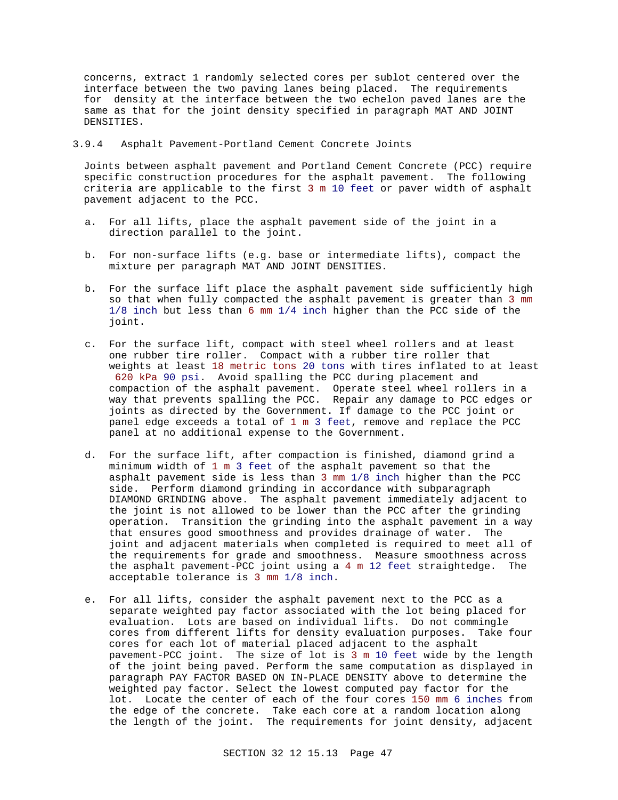concerns, extract 1 randomly selected cores per sublot centered over the interface between the two paving lanes being placed. The requirements for density at the interface between the two echelon paved lanes are the same as that for the joint density specified in paragraph MAT AND JOINT DENSITIES.

## 3.9.4 Asphalt Pavement-Portland Cement Concrete Joints

Joints between asphalt pavement and Portland Cement Concrete (PCC) require specific construction procedures for the asphalt pavement. The following criteria are applicable to the first 3 m 10 feet or paver width of asphalt pavement adjacent to the PCC.

- a. For all lifts, place the asphalt pavement side of the joint in a direction parallel to the joint.
- b. For non-surface lifts (e.g. base or intermediate lifts), compact the mixture per paragraph MAT AND JOINT DENSITIES.
- b. For the surface lift place the asphalt pavement side sufficiently high so that when fully compacted the asphalt pavement is greater than 3 mm 1/8 inch but less than 6 mm 1/4 inch higher than the PCC side of the joint.
- c. For the surface lift, compact with steel wheel rollers and at least one rubber tire roller. Compact with a rubber tire roller that weights at least 18 metric tons 20 tons with tires inflated to at least 620 kPa 90 psi. Avoid spalling the PCC during placement and compaction of the asphalt pavement. Operate steel wheel rollers in a way that prevents spalling the PCC. Repair any damage to PCC edges or joints as directed by the Government. If damage to the PCC joint or panel edge exceeds a total of 1 m 3 feet, remove and replace the PCC panel at no additional expense to the Government.
- d. For the surface lift, after compaction is finished, diamond grind a minimum width of 1 m 3 feet of the asphalt pavement so that the asphalt pavement side is less than 3 mm 1/8 inch higher than the PCC side. Perform diamond grinding in accordance with subparagraph DIAMOND GRINDING above. The asphalt pavement immediately adjacent to the joint is not allowed to be lower than the PCC after the grinding operation. Transition the grinding into the asphalt pavement in a way that ensures good smoothness and provides drainage of water. The joint and adjacent materials when completed is required to meet all of the requirements for grade and smoothness. Measure smoothness across the asphalt pavement-PCC joint using a 4 m 12 feet straightedge. The acceptable tolerance is 3 mm 1/8 inch.
- e. For all lifts, consider the asphalt pavement next to the PCC as a separate weighted pay factor associated with the lot being placed for evaluation. Lots are based on individual lifts. Do not commingle cores from different lifts for density evaluation purposes. Take four cores for each lot of material placed adjacent to the asphalt pavement-PCC joint. The size of lot is 3 m 10 feet wide by the length of the joint being paved. Perform the same computation as displayed in paragraph PAY FACTOR BASED ON IN-PLACE DENSITY above to determine the weighted pay factor. Select the lowest computed pay factor for the lot. Locate the center of each of the four cores 150 mm 6 inches from the edge of the concrete. Take each core at a random location along the length of the joint. The requirements for joint density, adjacent